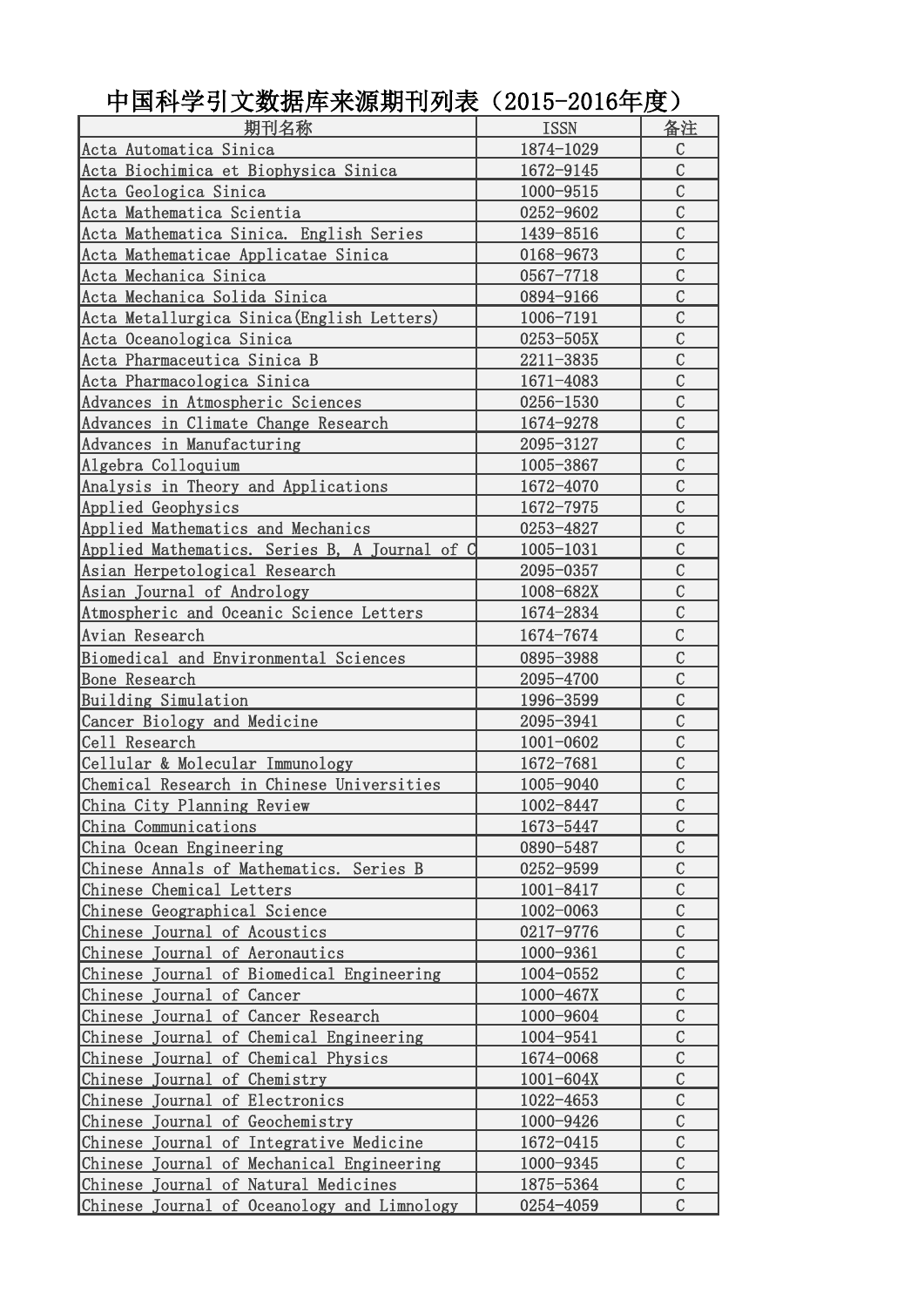| 期刊名称                                             | <b>ISSN</b>   | 备注             |
|--------------------------------------------------|---------------|----------------|
| Acta Automatica Sinica                           | 1874-1029     | $\mathcal{C}$  |
| Acta Biochimica et Biophysica Sinica             | 1672-9145     | $\overline{C}$ |
| Acta Geologica Sinica                            | 1000-9515     | $\overline{C}$ |
| Acta Mathematica Scientia                        | 0252-9602     | $\mathcal{C}$  |
| Acta Mathematica Sinica. English Series          | 1439-8516     | $\mathcal{C}$  |
| Acta Mathematicae Applicatae Sinica              | 0168-9673     | $\mathcal{C}$  |
| Acta Mechanica Sinica                            | 0567-7718     | $\mathcal{C}$  |
| Acta Mechanica Solida Sinica                     | 0894-9166     | $\overline{C}$ |
| <u>Acta Metallurgica Sinica(English Letters)</u> | 1006-7191     | $\mathcal{C}$  |
| Acta Oceanologica Sinica                         | 0253-505X     | $\mathcal{C}$  |
| Acta Pharmaceutica Sinica B                      | 2211-3835     | $\mathcal{C}$  |
| Acta Pharmacologica Sinica                       | 1671-4083     | $\overline{C}$ |
| Advances in Atmospheric Sciences                 | 0256-1530     | $\mathcal{C}$  |
| Advances in Climate Change Research              | 1674-9278     | $\overline{C}$ |
| Advances in Manufacturing                        | 2095-3127     | $\mathcal{C}$  |
| Algebra Colloquium                               | 1005-3867     | $\mathcal{C}$  |
| Analysis in Theory and Applications              | 1672-4070     | $\mathcal{C}$  |
| Applied Geophysics                               | 1672-7975     | $\mathcal{C}$  |
| Applied Mathematics and Mechanics                | 0253-4827     | $\mathcal{C}$  |
| Applied Mathematics. Series B, A Journal of C    | 1005-1031     | $\overline{C}$ |
| Asian Herpetological Research                    | 2095-0357     | $\mathcal{C}$  |
| Asian Journal of Andrology                       | 1008-682X     | $\mathcal{C}$  |
| Atmospheric and Oceanic Science Letters          | 1674-2834     | $\mathcal{C}$  |
| Avian Research                                   | 1674-7674     | $\mathcal{C}$  |
| Biomedical and Environmental Sciences            | 0895-3988     | $\mathcal{C}$  |
| Bone Research                                    | 2095-4700     | $\overline{C}$ |
| Building Simulation                              | 1996-3599     | $\mathcal{C}$  |
| Cancer Biology and Medicine                      | 2095-3941     | $\overline{C}$ |
| Cell Research                                    | 1001-0602     | $\mathcal{C}$  |
| Cellular & Molecular Immunology                  | 1672-7681     | $\mathcal{C}$  |
| Chemical Research in Chinese Universities        | 1005-9040     | $\mathcal{C}$  |
| China City Planning Review                       | 1002-8447     | $\mathsf C$    |
| China Communications                             | 1673-5447     | $\mathcal{C}$  |
| China Ocean Engineering                          | 0890-5487     | $\mathcal{C}$  |
| Chinese Annals of Mathematics. Series B          | 0252-9599     | $\mathcal{C}$  |
| Chinese Chemical Letters                         | 1001-8417     | $\mathsf C$    |
| Chinese Geographical Science                     | 1002-0063     | $\mathcal{C}$  |
| Chinese Journal of Acoustics                     | 0217-9776     | $\mathcal{C}$  |
| Chinese Journal of Aeronautics                   | 1000-9361     | $\mathcal{C}$  |
| Chinese Journal of Biomedical Engineering        | 1004-0552     | $\mathcal{C}$  |
| Chinese Journal of Cancer                        | $1000 - 467X$ | $\mathcal{C}$  |
| Chinese Journal of Cancer Research               | 1000-9604     | $\mathbf C$    |
| Chinese Journal of Chemical Engineering          | 1004-9541     | $\mathsf C$    |
| Chinese Journal of Chemical Physics              | 1674-0068     | $\mathsf C$    |
| Chinese Journal of Chemistry                     | $1001 - 604X$ | $\mathcal{C}$  |
| Chinese Journal of Electronics                   | 1022-4653     | $\mathcal{C}$  |
| Chinese Journal of Geochemistry                  | 1000-9426     | $\mathcal{C}$  |
| Chinese Journal of Integrative Medicine          | 1672-0415     | $\mathcal{C}$  |
| Chinese Journal of Mechanical Engineering        | 1000-9345     | $\mathcal{C}$  |
| Chinese Journal of Natural Medicines             | 1875-5364     | $\mathsf C$    |
| Chinese Journal of Oceanology and Limnology      | 0254-4059     | $\mathcal{C}$  |

中国科学引文数据库来源期刊列表(2015-2016年度)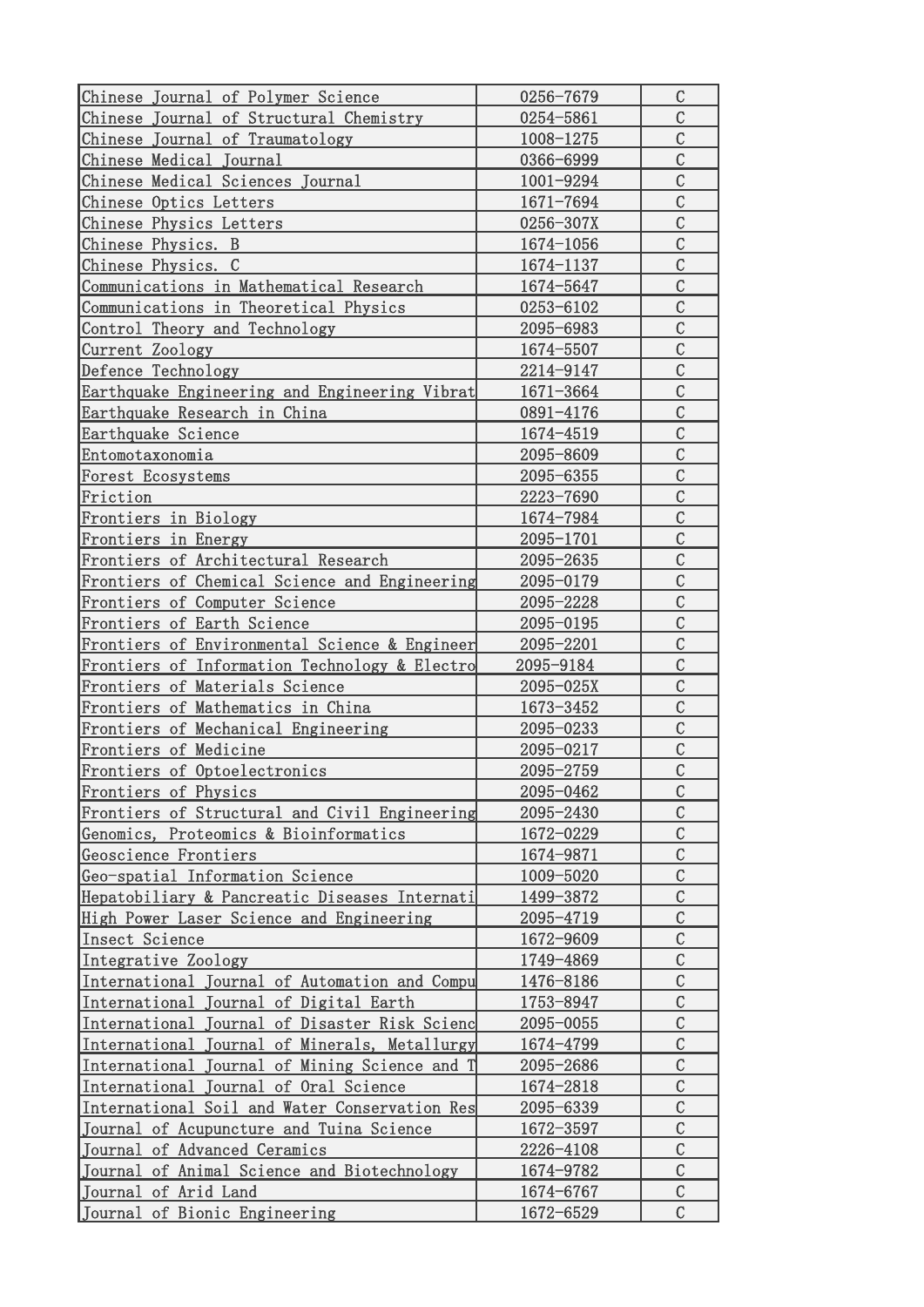| Chinese Journal of Polymer Science            | 0256-7679 | $\mathsf C$    |
|-----------------------------------------------|-----------|----------------|
| Chinese Journal of Structural Chemistry       | 0254-5861 | $\mathcal{C}$  |
| Chinese Journal of Traumatology               | 1008-1275 | $\overline{C}$ |
| Chinese Medical Journal                       | 0366-6999 | $\overline{C}$ |
| Chinese Medical Sciences Journal              | 1001-9294 | $\overline{C}$ |
| Chinese Optics Letters                        | 1671-7694 | $\mathcal{C}$  |
| Chinese Physics Letters                       | 0256-307X | $\mathcal{C}$  |
| Chinese Physics. B                            | 1674-1056 | $\mathcal{C}$  |
| Chinese Physics. C                            | 1674-1137 | $\mathcal{C}$  |
| Communications in Mathematical Research       | 1674-5647 | $\mathcal{C}$  |
| Communications in Theoretical Physics         | 0253-6102 | $\mathcal{C}$  |
| Control Theory and Technology                 | 2095-6983 | $\mathcal{C}$  |
| Current Zoology                               | 1674-5507 | $\mathcal{C}$  |
| Defence Technology                            | 2214-9147 | $\mathcal{C}$  |
| Earthquake Engineering and Engineering Vibrat | 1671-3664 | $\overline{C}$ |
| Earthquake Research in China                  | 0891-4176 | $\mathcal{C}$  |
| Earthquake Science                            | 1674-4519 | $\mathcal{C}$  |
| Entomotaxonomia                               | 2095-8609 | $\mathcal{C}$  |
| Forest Ecosystems                             | 2095-6355 | $\mathcal{C}$  |
| Friction                                      | 2223-7690 | $\mathcal{C}$  |
| Frontiers in Biology                          | 1674-7984 | $\mathcal{C}$  |
| Frontiers in Energy                           | 2095-1701 | $\mathcal{C}$  |
| Frontiers of Architectural Research           | 2095-2635 | $\mathcal{C}$  |
| Frontiers of Chemical Science and Engineering | 2095-0179 | $\overline{C}$ |
| Frontiers of Computer Science                 | 2095-2228 | $\mathcal{C}$  |
| Frontiers of Earth Science                    | 2095-0195 | $\overline{C}$ |
| Frontiers of Environmental Science & Engineer | 2095-2201 | $\overline{C}$ |
| Frontiers of Information Technology & Electro | 2095-9184 | $\overline{C}$ |
| Frontiers of Materials Science                | 2095-025X | $\mathcal{C}$  |
| Frontiers of Mathematics in China             | 1673-3452 | $\mathcal{C}$  |
| Frontiers of Mechanical Engineering           | 2095-0233 | $\mathcal{C}$  |
| Frontiers of Medicine                         | 2095-0217 | $\mathcal{C}$  |
| Frontiers of Optoelectronics                  | 2095-2759 | $\mathcal{C}$  |
| Frontiers of Physics                          | 2095-0462 | $\mathcal{C}$  |
| Frontiers of Structural and Civil Engineering | 2095-2430 | $\mathcal{C}$  |
| Genomics, Proteomics & Bioinformatics         | 1672-0229 | $\mathcal{C}$  |
| Geoscience Frontiers                          | 1674-9871 | $\mathcal{C}$  |
| Geo-spatial Information Science               | 1009-5020 | $\mathcal{C}$  |
| Hepatobiliary & Pancreatic Diseases Internati | 1499-3872 | $\mathcal{C}$  |
| High Power Laser Science and Engineering      | 2095-4719 | $\mathcal{C}$  |
| Insect Science                                | 1672-9609 | $\mathcal{C}$  |
| Integrative Zoology                           | 1749-4869 | $\mathcal{C}$  |
| International Journal of Automation and Compu | 1476-8186 | $\mathcal{C}$  |
| International Journal of Digital Earth        | 1753-8947 | $\mathsf C$    |
| International Journal of Disaster Risk Scienc | 2095-0055 | $\mathcal{C}$  |
| International Journal of Minerals, Metallurgy | 1674-4799 | $\mathcal{C}$  |
| International Journal of Mining Science and T | 2095-2686 | $\mathcal{C}$  |
| International Journal of Oral Science         | 1674-2818 | $\mathcal{C}$  |
| International Soil and Water Conservation Res | 2095-6339 | $\mathcal{C}$  |
| Journal of Acupuncture and Tuina Science      | 1672-3597 | $\mathcal{C}$  |
| Journal of Advanced Ceramics                  | 2226-4108 | $\mathcal{C}$  |
| Journal of Animal Science and Biotechnology   | 1674-9782 | $\mathcal{C}$  |
| Journal of Arid Land                          | 1674-6767 | $\mathcal{C}$  |
| Journal of Bionic Engineering                 | 1672-6529 | $\mathcal{C}$  |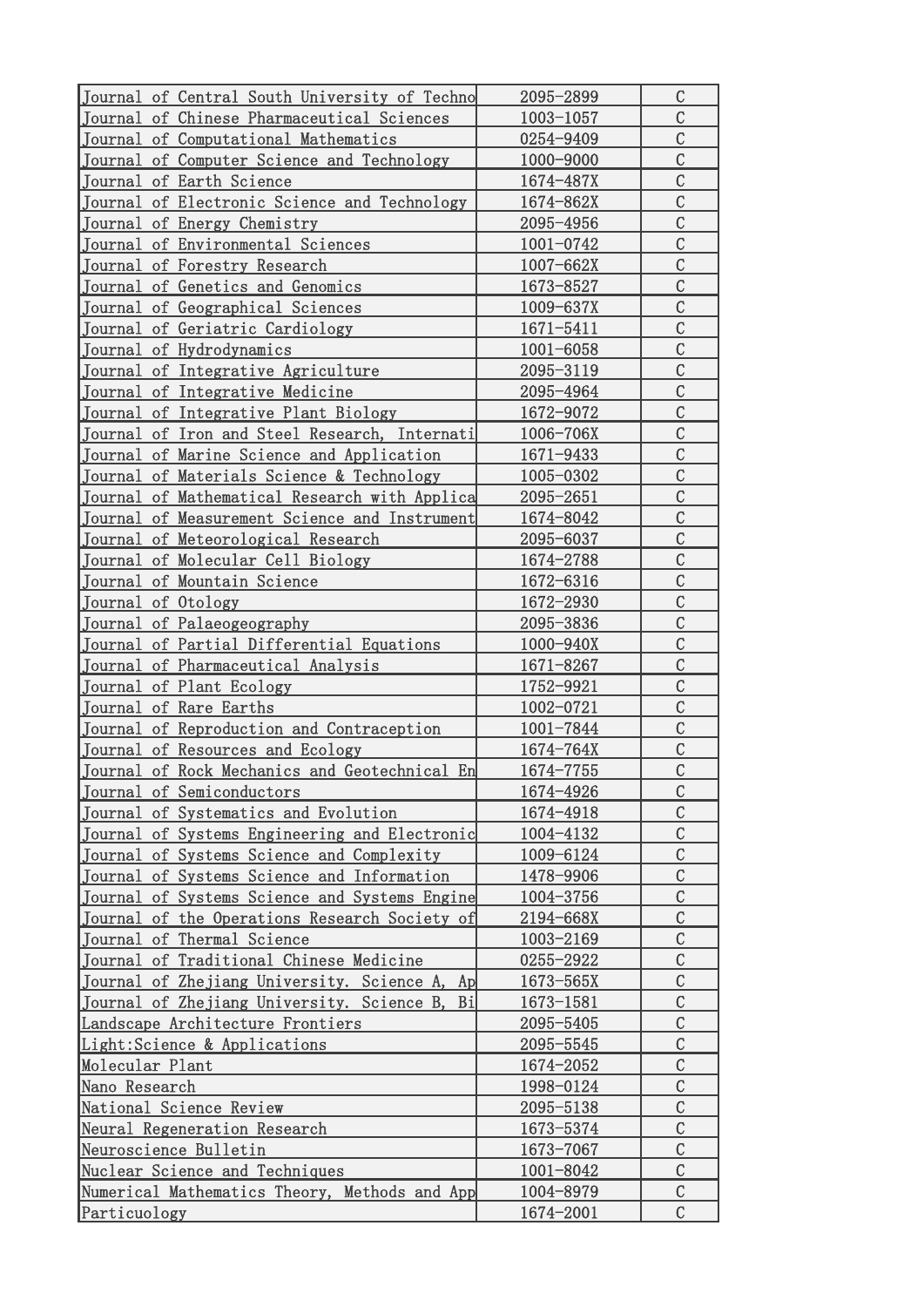| Journal of Central South University of Techno    | 2095-2899     | C              |
|--------------------------------------------------|---------------|----------------|
| Journal of Chinese Pharmaceutical Sciences       | $1003 - 1057$ | $\mathcal{C}$  |
| Journal of Computational Mathematics             | 0254-9409     | $\mathcal{C}$  |
| Journal of Computer Science and Technology       | 1000-9000     | $\mathcal{C}$  |
| Journal of Earth Science                         | 1674-487X     | $\mathcal{C}$  |
| Journal of Electronic Science and Technology     | 1674-862X     | $\mathcal{C}$  |
| Journal of Energy Chemistry                      | 2095-4956     | $\mathcal{C}$  |
| Journal of Environmental Sciences                | 1001-0742     | $\overline{C}$ |
| Journal of Forestry Research                     | 1007-662X     | $\overline{C}$ |
| Journal of Genetics and Genomics                 | 1673-8527     | $\mathcal{C}$  |
| Journal of Geographical Sciences                 | 1009-637X     | $\mathcal{C}$  |
| Journal of Geriatric Cardiology                  | 1671-5411     | $\mathcal{C}$  |
| Journal of Hydrodynamics                         | 1001-6058     | $\mathcal{C}$  |
| Journal of Integrative Agriculture               | 2095-3119     | $\mathcal{C}$  |
| Journal of Integrative Medicine                  | 2095-4964     | $\mathcal{C}$  |
| Journal of Integrative Plant Biology             | 1672-9072     | $\mathcal{C}$  |
| Journal of Iron and Steel Research, Internati    | 1006-706X     | $\mathcal{C}$  |
| Journal of Marine Science and Application        | 1671-9433     | $\mathcal{C}$  |
| Journal of Materials Science & Technology        | 1005-0302     | $\mathcal{C}$  |
| Journal of Mathematical Research with Applica    | 2095-2651     | $\mathcal{C}$  |
| Journal of Measurement Science and Instrument    | 1674-8042     | $\mathcal{C}$  |
| Journal of Meteorological Research               | 2095-6037     | $\mathcal{C}$  |
| Journal of Molecular Cell Biology                | 1674-2788     | $\mathcal{C}$  |
| Journal of Mountain Science                      | 1672-6316     | $\mathcal{C}$  |
| Journal of Otology                               | 1672-2930     | $\mathcal{C}$  |
| Journal of Palaeogeography                       | 2095-3836     | $\mathcal{C}$  |
| Journal of Partial Differential Equations        | 1000-940X     | $\mathcal{C}$  |
| Journal of Pharmaceutical Analysis               | 1671-8267     | $\mathcal{C}$  |
| Journal of Plant Ecology                         | 1752-9921     | $\mathcal{C}$  |
| Journal of Rare Earths                           | 1002-0721     | $\mathcal{C}$  |
| Journal of Reproduction and Contraception        | 1001-7844     | $\mathcal{C}$  |
| Journal of Resources and Ecology                 | $1674 - 764X$ | $\mathcal{C}$  |
| Journal of Rock Mechanics and Geotechnical En    | 1674-7755     | $\overline{C}$ |
| Journal of Semiconductors                        | 1674-4926     | $\mathcal{C}$  |
| Journal of Systematics and Evolution             | 1674-4918     | $\mathcal{C}$  |
| Journal of Systems Engineering and Electronic    | 1004-4132     | $\mathcal{C}$  |
| Journal of Systems Science and Complexity        | 1009-6124     | $\mathcal{C}$  |
| Journal of Systems Science and Information       | 1478-9906     | $\mathcal{C}$  |
| Journal of Systems Science and Systems Engine    | 1004-3756     | $\mathcal{C}$  |
| Journal of the Operations Research Society of    | 2194-668X     | $\mathcal{C}$  |
| Journal of Thermal Science                       | 1003-2169     | $\mathcal{C}$  |
| Journal of Traditional Chinese Medicine          | 0255-2922     | $\mathcal{C}$  |
| Journal of Zhejiang University. Science A, Ap    | 1673-565X     | $\mathcal{C}$  |
| Journal of Zhejiang University. Science B,<br>Bi | 1673-1581     | $\mathcal{C}$  |
| Landscape Architecture Frontiers                 | 2095-5405     | $\mathcal{C}$  |
| Light: Science & Applications                    | 2095-5545     | $\mathcal{C}$  |
| Molecular Plant                                  | 1674-2052     | $\mathcal{C}$  |
| Nano Research                                    | 1998-0124     | $\mathcal{C}$  |
| National Science Review                          | 2095-5138     | $\mathcal{C}$  |
| Neural Regeneration Research                     | 1673-5374     | $\overline{C}$ |
| Neuroscience Bulletin                            | 1673-7067     | $\mathcal{C}$  |
| Nuclear Science and Techniques                   | 1001-8042     | $\mathcal{C}$  |
| Numerical Mathematics Theory, Methods and App    | 1004-8979     | $\mathcal{C}$  |
| Particuology                                     | 1674-2001     | $\mathcal{C}$  |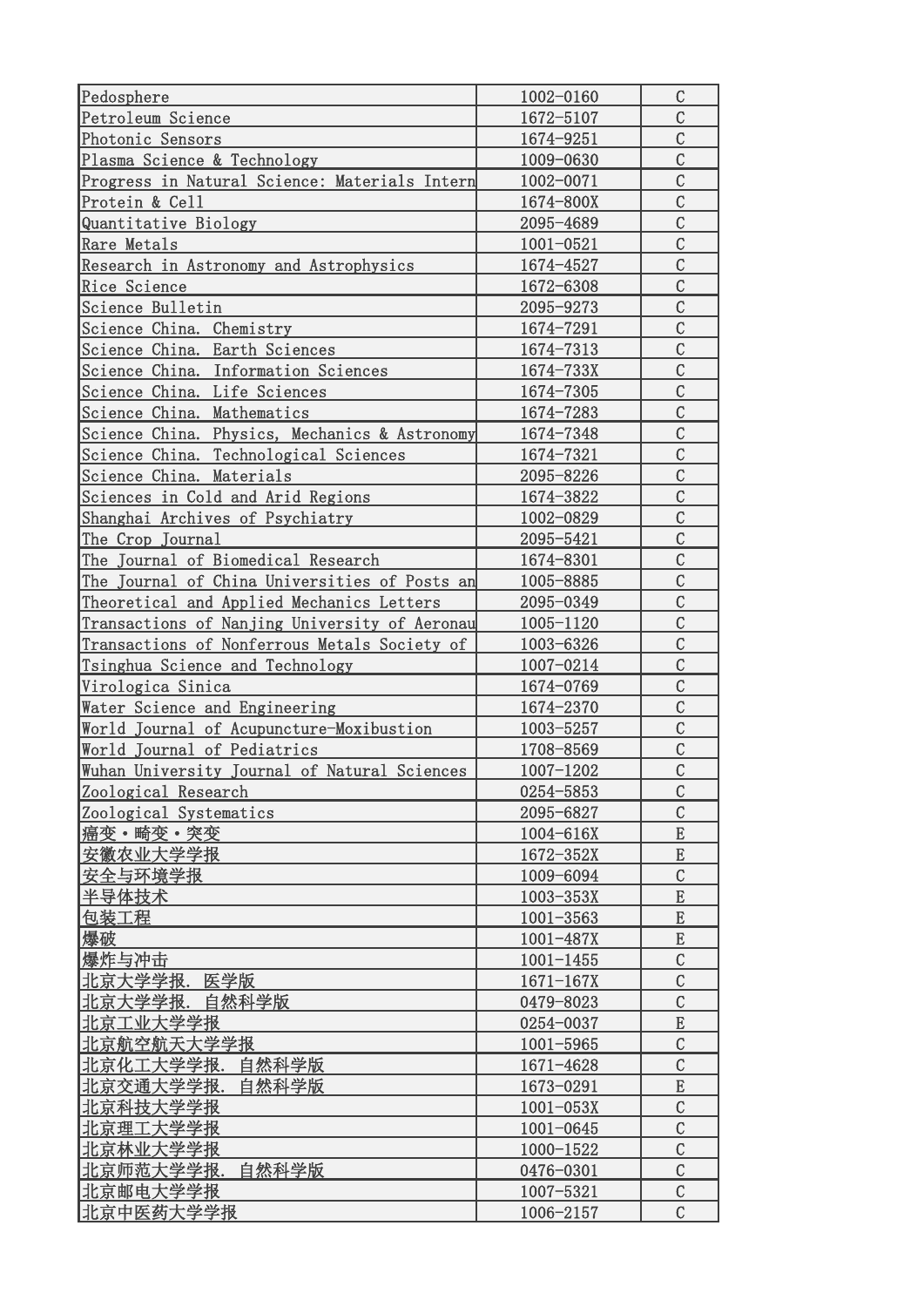| Pedosphere                                    | 1002-0160     | $\mathcal{C}$                  |
|-----------------------------------------------|---------------|--------------------------------|
| Petroleum Science                             | 1672-5107     | $\mathcal{C}$                  |
| Photonic Sensors                              | 1674-9251     | $\mathcal{C}$                  |
| Plasma Science & Technology                   | 1009-0630     | $\mathcal{C}$                  |
| Progress in Natural Science: Materials Intern | 1002-0071     | $\mathcal{C}$                  |
| Protein & Cell                                | 1674-800X     | $\mathcal{C}$                  |
| Quantitative Biology                          | 2095-4689     | $\mathcal{C}$                  |
| Rare Metals                                   | $1001 - 0521$ | $\mathcal{C}$                  |
| Research in Astronomy and Astrophysics        | 1674-4527     | $\overline{C}$                 |
| Rice Science                                  | 1672-6308     | $\mathcal{C}$                  |
| Science Bulletin                              | 2095-9273     | $\mathcal{C}$                  |
| Science China. Chemistry                      | 1674-7291     | $\mathcal{C}$                  |
| Science China. Earth Sciences                 | 1674-7313     | $\mathcal{C}$                  |
|                                               |               | $\overline{C}$                 |
| Science China. Information Sciences           | 1674-733X     | $\mathcal{C}$                  |
| Science China. Life Sciences                  | 1674-7305     | $\overline{C}$                 |
| Science China. Mathematics                    | 1674-7283     |                                |
| Science China. Physics, Mechanics & Astronomy | 1674-7348     | $\overline{C}$                 |
| Science China. Technological Sciences         | 1674-7321     | $\mathcal{C}$                  |
| Science China. Materials                      | 2095-8226     | $\mathcal{C}$                  |
| Sciences in Cold and Arid Regions             | 1674-3822     | $\mathcal{C}$                  |
| Shanghai Archives of Psychiatry               | 1002-0829     | $\mathcal{C}$                  |
| The Crop Journal                              | 2095-5421     | $\mathcal{C}$                  |
| The Journal of Biomedical Research            | 1674-8301     | $\mathcal{C}$                  |
| The Journal of China Universities of Posts an | 1005-8885     | $\mathcal{C}$                  |
| Theoretical and Applied Mechanics Letters     | 2095-0349     | $\mathcal{C}$                  |
| Transactions of Nanjing University of Aeronau | 1005-1120     | $\mathcal{C}$                  |
| Transactions of Nonferrous Metals Society of  | 1003-6326     | $\mathcal{C}$                  |
| Tsinghua Science and Technology               | 1007-0214     | $\mathcal{C}$                  |
| Virologica Sinica                             | 1674-0769     | $\mathcal{C}$                  |
| Water Science and Engineering                 | 1674-2370     | $\mathcal{C}$                  |
| World Journal of Acupuncture-Moxibustion      | 1003-5257     | $\mathcal{C}$                  |
| World Journal of Pediatrics                   | 1708-8569     | $\mathcal{C}$                  |
| Wuhan University Journal of Natural Sciences  | 1007-1202     | $\overline{C}$                 |
| Zoological Research                           | 0254-5853     | $\mathcal{C}$                  |
| Zoological Systematics                        | 2095-6827     | $\mathcal{C}$                  |
| 癌变·畸变·突变                                      | 1004-616X     | E                              |
| 安徽农业大学学报                                      | 1672-352X     | $\mathbf E$                    |
| 安全与环境学报                                       | 1009-6094     | $\mathcal{C}$                  |
| 半导体技术                                         | $1003 - 353X$ | ${\bf E}$                      |
| 包装工程                                          | $1001 - 3563$ | ${\bf E}$                      |
| 爆破                                            | $1001 - 487X$ | E                              |
|                                               |               |                                |
| 爆炸与冲击                                         | $1001 - 1455$ | $\mathcal{C}$<br>$\mathcal{C}$ |
| 北京大学学报. 医学版                                   | $1671 - 167X$ |                                |
| 北京大学学报.<br>自然科学版                              | 0479-8023     | $\mathcal{C}$                  |
| 北京工业大学学报                                      | 0254-0037     | ${\bf E}$                      |
| 北京航空航天大学学报                                    | $1001 - 5965$ | $\mathcal{C}$                  |
| 北京化工大学学报.<br>自然科学版                            | 1671-4628     | $\mathcal{C}$                  |
| 北京交通大学学报.<br>自然科学版                            | 1673-0291     | ${\bf E}$                      |
| 北京科技大学学报                                      | $1001 - 053X$ | $\mathcal{C}$                  |
| 北京理工大学学报                                      | $1001 - 0645$ | $\mathcal{C}$                  |
| 北京林业大学学报                                      | 1000-1522     | $\mathcal{C}$                  |
| 北京师范大学学报.<br>自然科学版                            | 0476-0301     | $\mathcal{C}$                  |
| 北京邮电大学学报                                      | 1007-5321     | $\mathcal{C}$                  |
| 北京中医药大学学报                                     | 1006-2157     | $\mathcal{C}$                  |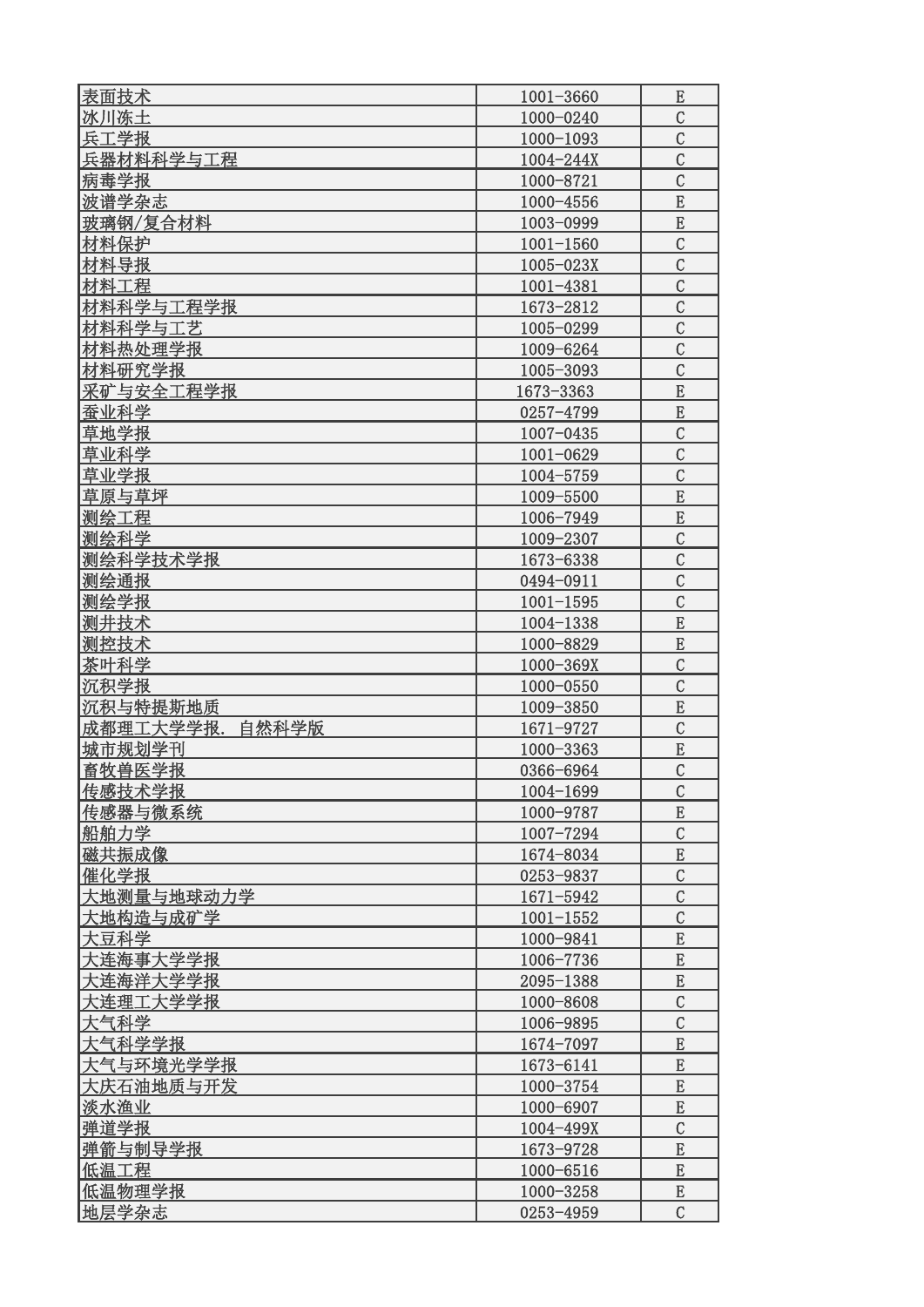| 表面技术               |                            |                    |
|--------------------|----------------------------|--------------------|
| 冰川冻土               | $1001 - 3660$<br>1000-0240 | E<br>$\mathcal{C}$ |
| 兵工学报               | 1000-1093                  | $\mathcal{C}$      |
| 兵器材料科学与工程          | $1004 - 244X$              | $\mathcal{C}$      |
| 病毒学报               | 1000-8721                  | $\mathcal{C}$      |
|                    |                            | E                  |
| 波谱学杂志              | 1000-4556                  |                    |
| 玻璃钢/复合材料           | 1003-0999                  | E                  |
| 材料保护               | $1001 - 1560$              | $\mathcal{C}$      |
| 材料导报               | $1005 - 023X$              | $\overline{C}$     |
| 材料工程               | 1001-4381                  | $\overline{C}$     |
| 材料科学与工程学报          | 1673-2812                  | $\mathcal{C}$      |
| 材料科学与工艺            | 1005-0299                  | $\mathcal{C}$      |
| 材料热处理学报            | 1009-6264                  | $\overline{C}$     |
| 材料研究学报             | 1005-3093                  | $\overline{C}$     |
| 采矿与安全工程学报          | 1673-3363                  | E                  |
| 蚕业科学               | 0257-4799                  | E                  |
| 草地学报               | $1007 - 0435$              | $\overline{C}$     |
| 草业科学               | 1001-0629                  | $\overline{C}$     |
| 草业学报               | 1004-5759                  | $\mathcal{C}$      |
| 草原与草坪              | 1009-5500                  | E                  |
| 测绘工程               | 1006-7949                  | E                  |
| 测绘科学               | 1009-2307                  | $\mathcal{C}$      |
| 测绘科学技术学报           | 1673-6338                  | $\mathcal{C}$      |
| 测绘通报               | 0494-0911                  | $\mathcal{C}$      |
| 测绘学报               | $1001 - 1595$              | $\mathcal{C}$      |
| 测井技术               | 1004-1338                  | E                  |
| 测控技术               | 1000-8829                  | E                  |
| 茶叶科学               | 1000-369X                  | $\mathcal{C}$      |
| 沉积学报               | 1000-0550                  | $\overline{C}$     |
| 沉积与特提斯地质           | 1009-3850                  | E                  |
| 成都理工大学学报.<br>自然科学版 | 1671-9727                  | $\mathcal{C}$      |
| 城市规划学刊             | 1000-3363                  | E                  |
| 畜牧兽医学报             | 0366-6964                  | $\mathcal{C}$      |
| 传感技术学报             | 1004-1699                  | $\mathcal{C}$      |
| 传感器与微系统            | 1000-9787                  | E                  |
|                    | 1007-7294                  | $\overline{C}$     |
| 船舶力学               |                            |                    |
| 磁共振成像              | 1674-8034                  | E                  |
| 催化学报               | 0253-9837                  | $\overline{C}$     |
| 大地测量与地球动力学         | 1671-5942                  | $\mathcal{C}$      |
| 大地构造与成矿学           | $1001 - 1552$              | $\overline{C}$     |
| 大豆科学               | 1000-9841                  | E                  |
| 大连海事大学学报           | 1006-7736                  | E                  |
| 大连海洋大学学报           | 2095-1388                  | E                  |
| 大连理工大学学报           | 1000-8608                  | $\overline{C}$     |
| 大气科学               | 1006-9895                  | $\mathcal{C}$      |
| 大气科学学报             | 1674-7097                  | E                  |
| 大气与环境光学学报          | 1673-6141                  | E                  |
| 大庆石油地质与开发          | 1000-3754                  | E                  |
| 淡水渔业               | 1000-6907                  | E                  |
| 弹道学报               | 1004-499X                  | $\mathcal{C}$      |
| 弹箭与制导学报            | 1673-9728                  | E                  |
| 低温工程               | 1000-6516                  | E                  |
| 低温物理学报             | 1000-3258                  | E                  |
| 地层学杂志              | 0253-4959                  | $\mathcal{C}$      |
|                    |                            |                    |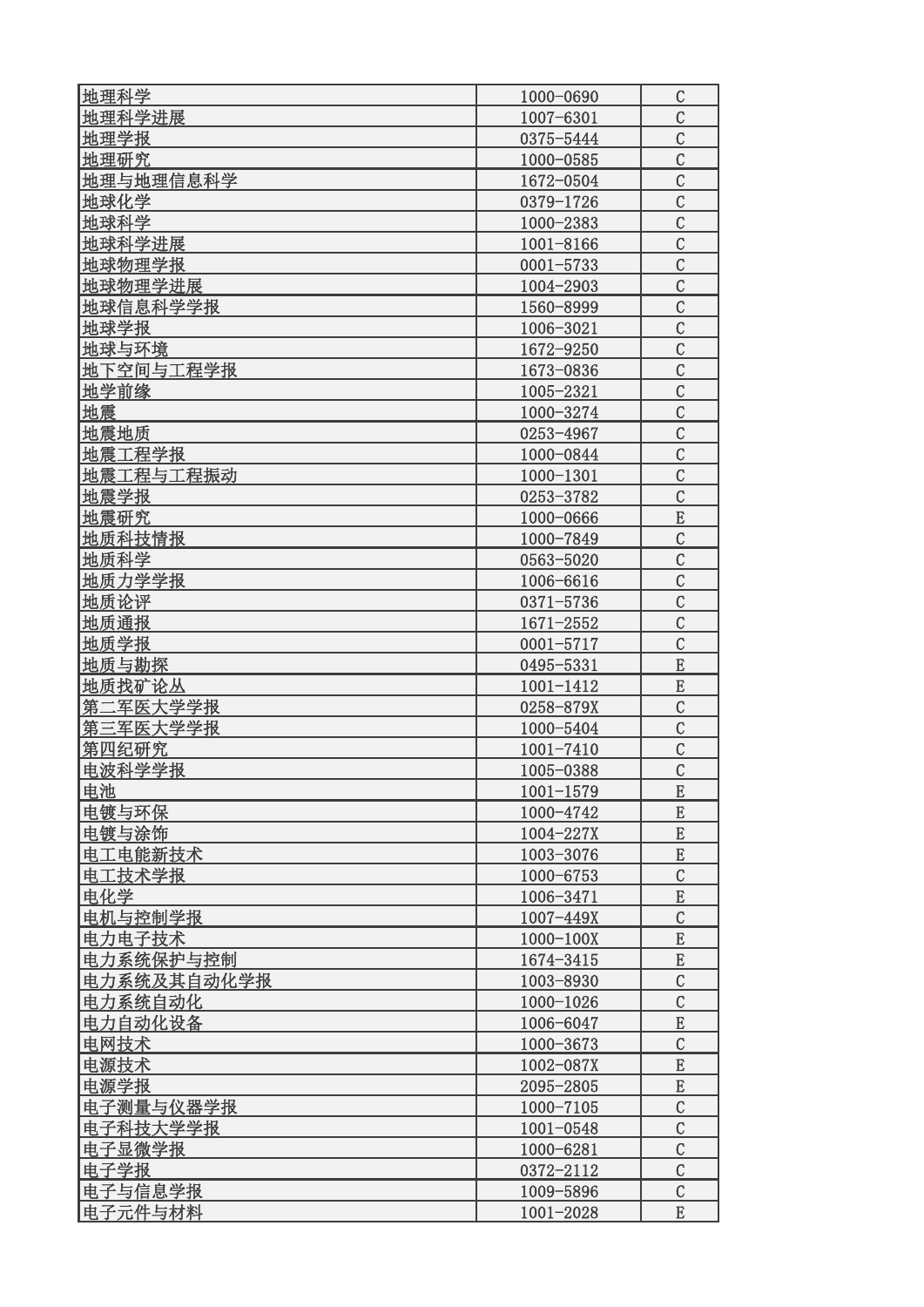| 地理科学             | 1000-0690     | $\mathcal{C}$  |
|------------------|---------------|----------------|
| 地理科学进展           | 1007-6301     | $\mathcal{C}$  |
| 地理学报             | 0375-5444     | $\mathcal{C}$  |
| 地理研究             | 1000-0585     | $\mathcal{C}$  |
| 地理与地理信息科学        | 1672-0504     | $\mathcal{C}$  |
| 地球化学             | 0379-1726     | $\mathcal{C}$  |
| 地球科学             | 1000-2383     | $\mathcal{C}$  |
| 地球科学进展           | 1001-8166     | $\mathcal{C}$  |
| 地球物理学报           | $0001 - 5733$ | $\overline{C}$ |
| 地球物理学进展          | 1004-2903     | $\mathcal{C}$  |
| 地球信息科学学报         | 1560-8999     | $\mathcal{C}$  |
| 地球学报             | 1006-3021     | $\mathcal{C}$  |
| 地球与环境            | 1672-9250     | $\mathcal{C}$  |
| 地下空间与工程学报        | 1673-0836     | $\overline{C}$ |
| 地学前缘             | 1005-2321     | $\overline{C}$ |
| 地震               | 1000-3274     | $\overline{C}$ |
| 地震地质             | 0253-4967     | $\mathcal{C}$  |
| 地震工程学报           | 1000-0844     | $\mathcal{C}$  |
| 地震工程与工程振动        | 1000-1301     | $\mathcal{C}$  |
| 地震学报             | 0253-3782     | $\mathcal{C}$  |
| 地震研究             | 1000-0666     | E              |
| 地质科技情报           | 1000-7849     | $\mathcal{C}$  |
| 地质科学             | 0563-5020     | $\mathcal{C}$  |
| 地质力学学报           | 1006-6616     | $\mathcal{C}$  |
| 地质论评             | 0371-5736     | $\mathcal{C}$  |
| 地质通报             | $1671 - 2552$ | $\mathcal{C}$  |
| 地质学报             | $0001 - 5717$ | $\mathcal{C}$  |
| 地质与勘探            | 0495-5331     | E              |
| 地质找矿论丛           | $1001 - 1412$ | E              |
| 第二军医大学学报         | 0258-879X     | $\mathcal{C}$  |
| 第三军医大学学报         | 1000-5404     | $\mathcal{C}$  |
| 第四纪研究            | $1001 - 7410$ | $\mathcal{C}$  |
| 电波科学学报           | 1005-0388     | $\overline{C}$ |
| 电池               | $1001 - 1579$ | E              |
| 电镀与环保            | 1000-4742     | E              |
|                  | 1004-227X     | E              |
| 电镀与涂饰<br>电工电能新技术 | 1003-3076     | ${\bf E}$      |
| 电工技术学报           | 1000-6753     | $\mathcal{C}$  |
| 电化学              | 1006-3471     | ${\bf E}$      |
| 电机与控制学报          | $1007 - 449X$ | $\overline{C}$ |
| 电力电子技术           |               | E              |
|                  | $1000 - 100X$ | E              |
| 电力系统保护与控制        | 1674-3415     |                |
| 电力系统及其自动化学报      | 1003-8930     | $\mathcal{C}$  |
| 电力系统自动化          | 1000-1026     | $\mathcal{C}$  |
| 电力自动化设备          | 1006-6047     | ${\bf E}$      |
| 电网技术             | 1000-3673     | $\mathcal{C}$  |
| 电源技术             | 1002-087X     | E              |
| 电源学报             | 2095-2805     | E              |
| 电子测量与仪器学报        | 1000-7105     | $\mathcal{C}$  |
| 电子科技大学学报         | $1001 - 0548$ | $\mathcal{C}$  |
| 电子显微学报           | 1000-6281     | $\overline{C}$ |
| 电子学报             | 0372-2112     | $\mathcal{C}$  |
| 电子与信息学报          | 1009-5896     | $\mathcal{C}$  |
| 电子元件与材料          | 1001-2028     | E              |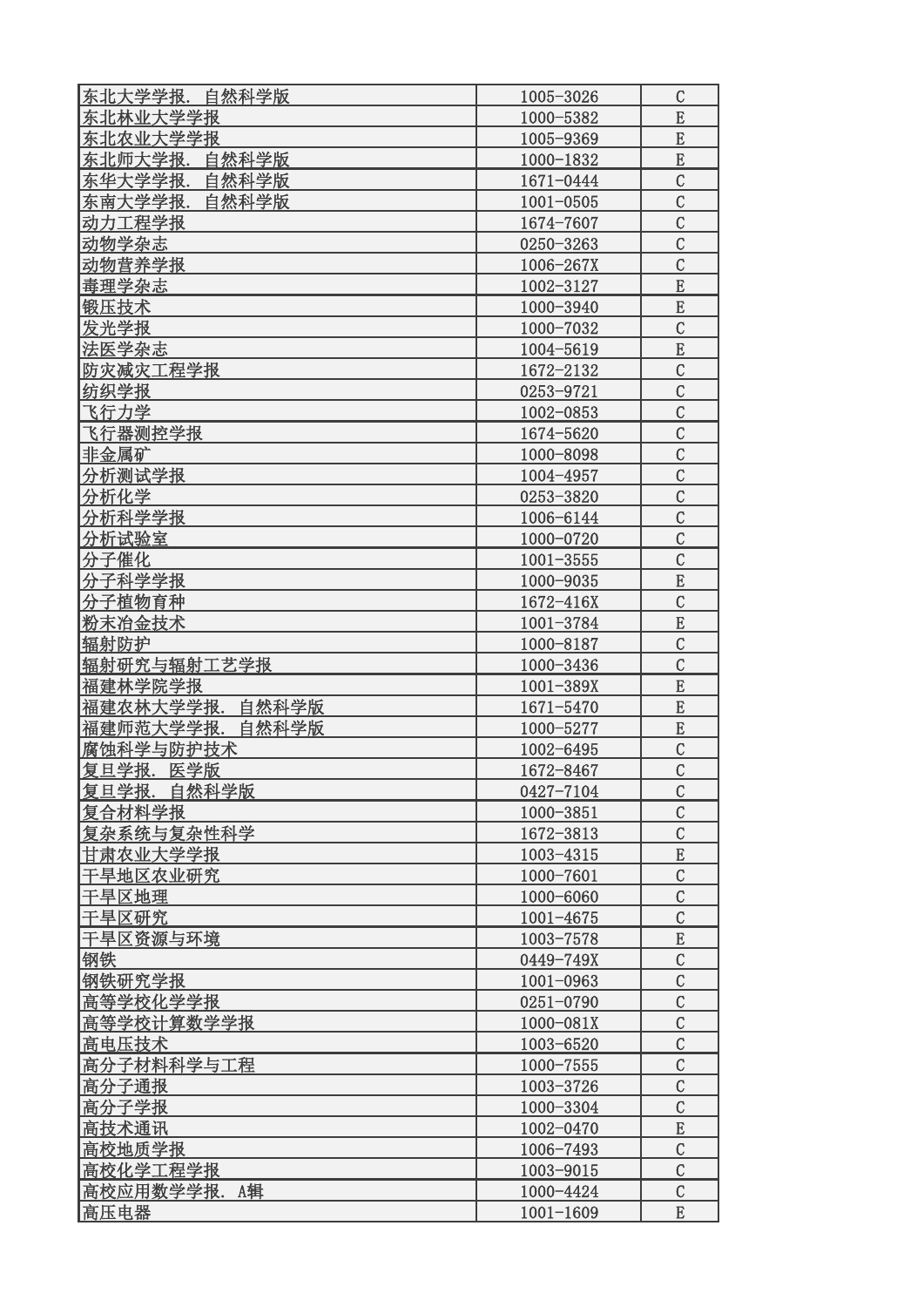| 东北大学学报.自然科学版       | 1005-3026     | $\mathcal{C}$  |
|--------------------|---------------|----------------|
| 东北林业大学学报           | 1000-5382     | ${\bf E}$      |
| 东北农业大学学报           | 1005-9369     | ${\bf E}$      |
| 东北师大学报. 自然科学版      | 1000-1832     | E              |
| 东华大学学报.<br>自然科学版   | 1671-0444     | $\mathcal{C}$  |
| 东南大学学报.<br>自然科学版   | $1001 - 0505$ | $\mathcal{C}$  |
| 动力工程学报             | 1674-7607     | $\mathcal{C}$  |
| 动物学杂志              | 0250-3263     | $\overline{C}$ |
| 动物营养学报             | 1006-267X     | $\overline{C}$ |
| 毒理学杂志              | 1002-3127     | E              |
| 锻压技术               | 1000-3940     | E              |
| 发光学报               | 1000-7032     | $\mathcal{C}$  |
| 法医学杂志              | 1004-5619     | E              |
| 防灾减灾工程学报           | 1672-2132     | $\mathcal{C}$  |
| 纺织学报               | 0253-9721     | $\mathcal{C}$  |
| 飞行力学               | 1002-0853     | $\mathcal{C}$  |
| 飞行器测控学报            | 1674-5620     | $\mathcal{C}$  |
| 非金属矿               | 1000-8098     | $\mathcal{C}$  |
| 分析测试学报             | 1004-4957     | $\mathcal{C}$  |
| 分析化学               | 0253-3820     | $\mathcal{C}$  |
| 分析科学学报             | 1006-6144     | $\mathcal{C}$  |
| 分析试验室              | 1000-0720     | $\mathcal{C}$  |
| 分子催化               | $1001 - 3555$ | $\mathcal{C}$  |
| 分子科学学报             | 1000-9035     | E              |
| 分子植物育种             | $1672 - 416X$ | $\mathcal{C}$  |
| 粉末冶金技术             | 1001-3784     | E              |
| 辐射防护               | 1000-8187     | $\overline{C}$ |
| 辐射研究与辐射工艺学报        | 1000-3436     | $\mathcal{C}$  |
| 福建林学院学报            | $1001 - 389X$ | E              |
| 福建农林大学学报.<br>自然科学版 | 1671-5470     | E              |
| 福建师范大学学报.<br>自然科学版 | 1000-5277     | E              |
| 腐蚀科学与防护技术          | 1002-6495     | $\overline{C}$ |
| 复旦学报. 医学版          | 1672-8467     | $\overline{C}$ |
| 复旦学报. 自然科学版        | 0427-7104     | $\mathcal{C}$  |
| 复合材料学报             | 1000-3851     | $\mathcal{C}$  |
| 复杂系统与复杂性科学         | 1672-3813     | $\mathcal{C}$  |
| 甘肃农业大学学报           | 1003-4315     | $\mathbf E$    |
| 干旱地区农业研究           | 1000-7601     | $\mathcal{C}$  |
| 干旱区地理              | 1000-6060     | $\mathcal{C}$  |
| 干旱区研究              | $1001 - 4675$ | $\mathcal{C}$  |
| 干旱区资源与环境           | 1003-7578     | $\mathbf E$    |
| 钢铁                 | 0449-749X     | $\mathcal{C}$  |
| 钢铁研究学报             | $1001 - 0963$ | $\mathcal{C}$  |
| 高等学校化学学报           | 0251-0790     | $\mathcal{C}$  |
| 高等学校计算数学学报         | 1000-081X     | $\mathcal{C}$  |
| 高电压技术              | 1003-6520     | $\mathcal{C}$  |
| 高分子材料科学与工程         | $1000 - 7555$ | $\mathcal{C}$  |
| 高分子通报              | 1003-3726     | $\mathcal{C}$  |
| 高分子学报              | 1000-3304     | $\mathcal{C}$  |
| 高技术通讯              | 1002-0470     | ${\bf E}$      |
| 高校地质学报             | 1006-7493     | $\mathcal{C}$  |
| 高校化学工程学报           | 1003-9015     | $\mathcal{C}$  |
| 高校应用数学学报. A辑       | 1000-4424     | $\mathcal{C}$  |
| 高压电器               | $1001 - 1609$ | E              |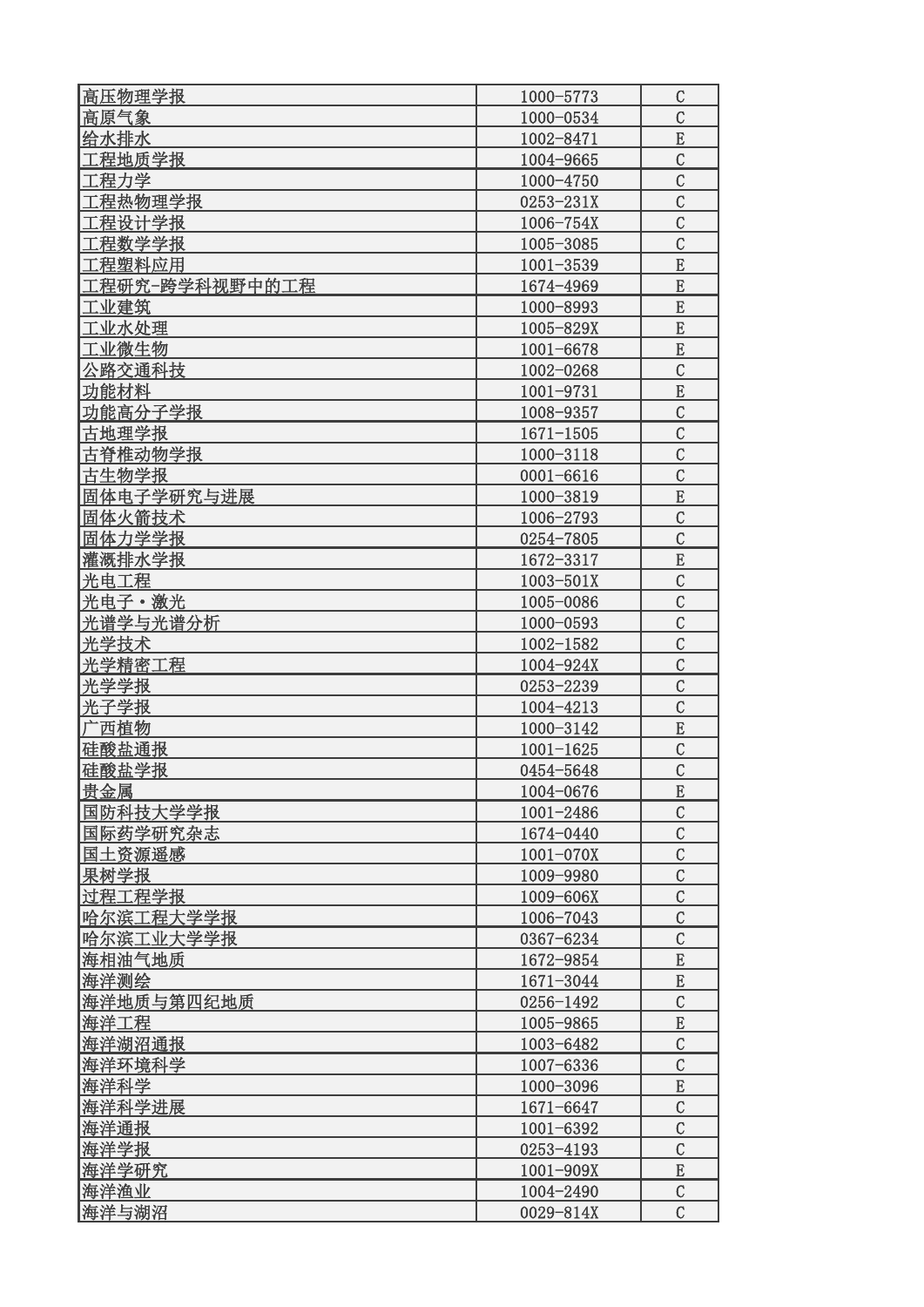| 高压物理学报         | 1000-5773     | C              |
|----------------|---------------|----------------|
| 高原气象           | 1000-0534     | $\overline{C}$ |
| 给水排水           | 1002-8471     | E              |
| 工程地质学报         | 1004-9665     | $\mathcal{C}$  |
| 工程力学           | 1000-4750     | $\mathcal{C}$  |
| 工程热物理学报        | 0253-231X     | $\overline{C}$ |
| 工程设计学报         | 1006-754X     | $\overline{C}$ |
| 工程数学学报         | 1005-3085     | $\mathcal{C}$  |
|                | $1001 - 3539$ | E              |
| 工程塑料应用         |               |                |
| 工程研究−跨学科视野中的工程 | 1674-4969     | E              |
| 工业建筑           | 1000-8993     | E              |
| 工业水处理          | 1005-829X     | E              |
| 工业微生物          | 1001-6678     | E              |
| 公路交通科技         | 1002-0268     | $\overline{C}$ |
| 功能材料           | 1001-9731     | E              |
| 功能高分子学报        | 1008-9357     | $\mathcal{C}$  |
| 古地理学报          | $1671 - 1505$ | $\overline{C}$ |
| 古脊椎动物学报        | 1000-3118     | $\overline{C}$ |
| 古生物学报          | $0001 - 6616$ | $\mathcal{C}$  |
| 固体电子学研究与进展     | 1000-3819     | E              |
| 固体火箭技术         | 1006-2793     | $\mathcal{C}$  |
| 固体力学学报         | 0254-7805     | $\mathcal{C}$  |
| 灌溉排水学报         | 1672-3317     | E              |
| 光电工程           | 1003-501X     | $\mathcal{C}$  |
| 光电子・激光         | 1005-0086     | $\overline{C}$ |
| 光谱学与光谱分析       | 1000-0593     | $\mathcal{C}$  |
| 光学技术           | 1002-1582     | $\mathcal{C}$  |
| 光学精密工程         | 1004-924X     | $\mathcal{C}$  |
| 光学学报           | 0253-2239     | $\overline{C}$ |
| 光子学报           | 1004-4213     | $\mathcal{C}$  |
| 广西植物           | 1000-3142     | E              |
| 硅酸盐通报          | $1001 - 1625$ | $\mathcal{C}$  |
| 硅酸盐学报          | 0454-5648     | $\mathcal{C}$  |
| 贵金属            | 1004-0676     | ${\bf E}$      |
| 国防科技大学学报       | 1001-2486     | $\mathcal{C}$  |
| 国际药学研究杂志       | 1674-0440     | $\overline{C}$ |
|                | 1001-070X     | $\overline{C}$ |
| 国土资源遥感         |               |                |
| 果树学报           | 1009-9980     | $\overline{C}$ |
| 过程工程学报         | 1009-606X     | $\overline{C}$ |
| 哈尔滨工程大学学报      | 1006-7043     | $\overline{C}$ |
| 哈尔滨工业大学学报      | 0367-6234     | $\mathcal{C}$  |
| 海相油气地质         | 1672-9854     | E              |
| 海洋测绘           | 1671-3044     | E              |
| 海洋地质与第四纪地质     | 0256-1492     | $\mathcal{C}$  |
| 海洋工程           | 1005-9865     | E              |
| 海洋湖沼通报         | 1003-6482     | $\mathcal{C}$  |
| 海洋环境科学         | 1007-6336     | $\mathcal{C}$  |
| 海洋科学           | 1000-3096     | E              |
| 海洋科学进展         | 1671-6647     | $\mathcal{C}$  |
| 海洋通报           | 1001-6392     | $\mathcal{C}$  |
| 海洋学报           | 0253-4193     | $\mathcal{C}$  |
| 海洋学研究          | 1001-909X     | E              |
| 海洋渔业           | 1004-2490     | $\mathcal{C}$  |
| 海洋与湖沼          | 0029-814X     | $\mathcal{C}$  |
|                |               |                |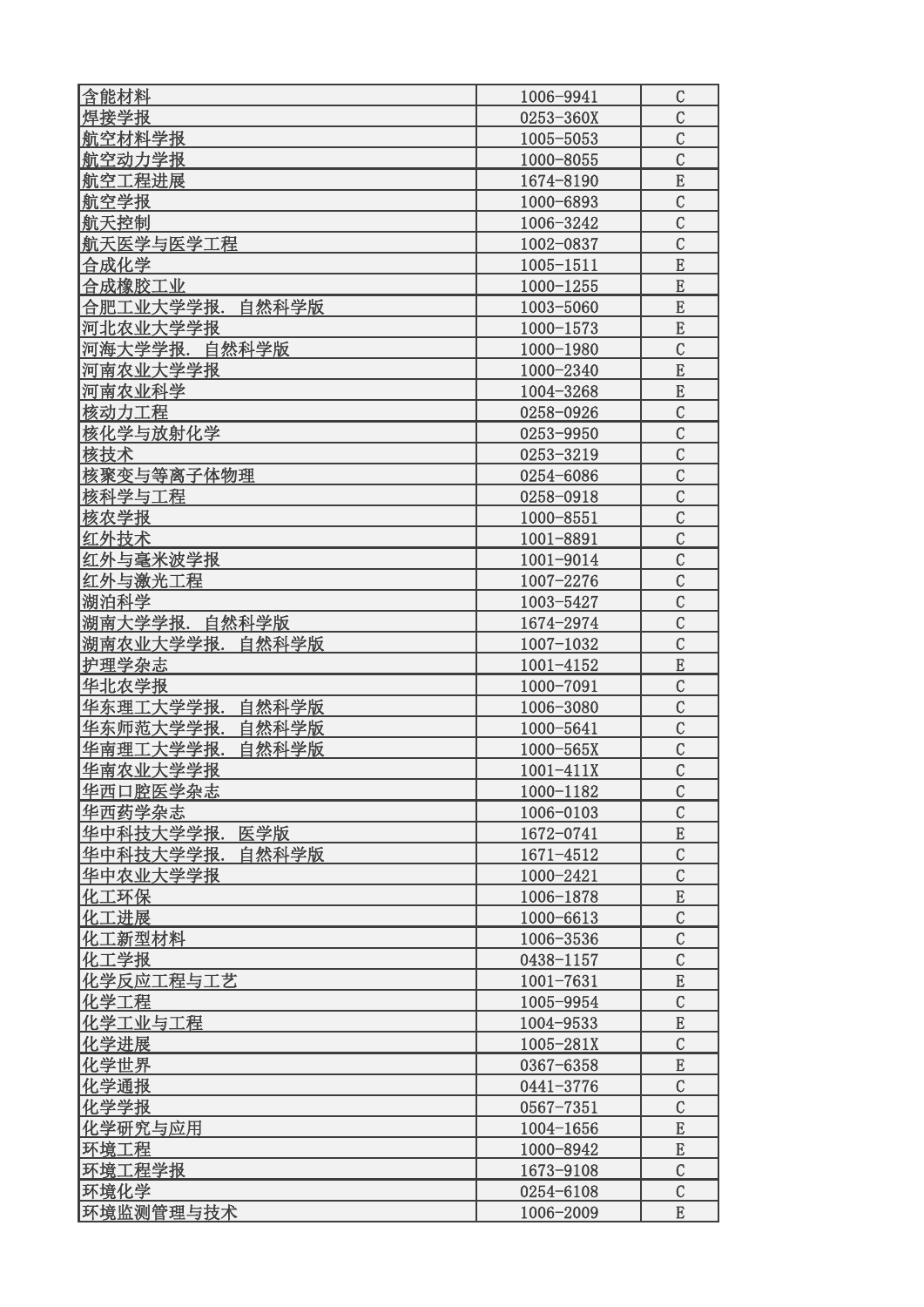| 含能材料               | 1006-9941     | $\mathcal{C}$  |
|--------------------|---------------|----------------|
| 焊接学报               | 0253-360X     | $\mathcal{C}$  |
| 航空材料学报             | 1005-5053     | $\overline{C}$ |
| 航空动力学报             | 1000-8055     | $\mathcal{C}$  |
| 航空工程进展             | 1674-8190     | E              |
| 航空学报               | 1000-6893     | $\mathcal{C}$  |
| 航天控制               | 1006-3242     | $\mathcal{C}$  |
| 航天医学与医学工程          | 1002-0837     | $\mathcal{C}$  |
| 合成化学               | $1005 - 1511$ | E              |
| 合成橡胶工业             | $1000 - 1255$ | E              |
| 合肥工业大学学报.自然科学版     | 1003-5060     | E              |
| 河北农业大学学报           | $1000 - 1573$ | E              |
| 河海大学学报. 自然科学版      | 1000-1980     | $\mathcal{C}$  |
| 河南农业大学学报           | 1000-2340     | E              |
| 河南农业科学             | 1004-3268     | ${\bf E}$      |
| 核动力工程              | 0258-0926     | $\mathcal{C}$  |
| 核化学与放射化学           | 0253-9950     | $\mathcal{C}$  |
| 核技术                | 0253-3219     | $\mathcal{C}$  |
| 核聚变与等离子体物理         | 0254-6086     | $\mathcal{C}$  |
| 核科学与工程             | 0258-0918     | $\overline{C}$ |
| 核农学报               | 1000-8551     | $\mathcal{C}$  |
| 红外技术               | 1001-8891     | $\overline{C}$ |
| 红外与毫米波学报           | 1001-9014     | $\overline{C}$ |
| 红外与激光工程            | 1007-2276     | $\mathcal{C}$  |
| 湖泊科学               | 1003-5427     | $\mathcal{C}$  |
| 湖南大学学报. 自然科学版      | 1674-2974     | $\overline{C}$ |
| 湖南农业大学学报.<br>自然科学版 | $1007 - 1032$ | $\mathcal{C}$  |
| 护理学杂志              | 1001-4152     | E              |
| 华北农学报              | 1000-7091     | $\mathcal{C}$  |
| 华东理工大学学报. 自然科学版    | 1006-3080     | $\mathcal{C}$  |
| 华东师范大学学报.<br>自然科学版 | 1000-5641     | $\mathcal{C}$  |
| 华南理工大学学报.<br>自然科学版 | 1000-565X     | $\mathcal{C}$  |
| 华南农业大学学报           | 1001-411X     | $\mathcal{C}$  |
| 华西口腔医学杂志           | 1000-1182     | $\mathcal{C}$  |
| 华西药学杂志             | 1006-0103     | $\mathcal{C}$  |
| 华中科技大学学报.<br>医学版   | 1672-0741     | E              |
| 华中科技大学学报. 自然科学版    | 1671-4512     | $\mathcal{C}$  |
| 华中农业大学学报           | 1000-2421     | $\mathcal{C}$  |
| 化工环保               | 1006-1878     | ${\bf E}$      |
| 化工进展               | 1000-6613     | $\mathcal{C}$  |
| 化工新型材料             | 1006-3536     | $\mathcal{C}$  |
| 化工学报               | 0438-1157     | $\mathcal{C}$  |
| 化学反应工程与工艺          | 1001-7631     | ${\bf E}$      |
| 化学工程               | 1005-9954     | $\mathcal{C}$  |
| 化学工业与工程            | 1004-9533     | ${\bf E}$      |
| 化学进展               | 1005-281X     | $\mathcal{C}$  |
| 化学世界               | 0367-6358     | E              |
| 化学通报               | 0441-3776     | $\mathcal{C}$  |
| 化学学报               | 0567-7351     | $\mathcal{C}$  |
| 化学研究与应用            | 1004-1656     | ${\bf E}$      |
| 环境工程               | 1000-8942     | E              |
| 环境工程学报             | 1673-9108     | $\mathcal{C}$  |
| 环境化学               | 0254-6108     | $\mathcal{C}$  |
| 环境监测管理与技术          | 1006-2009     | E              |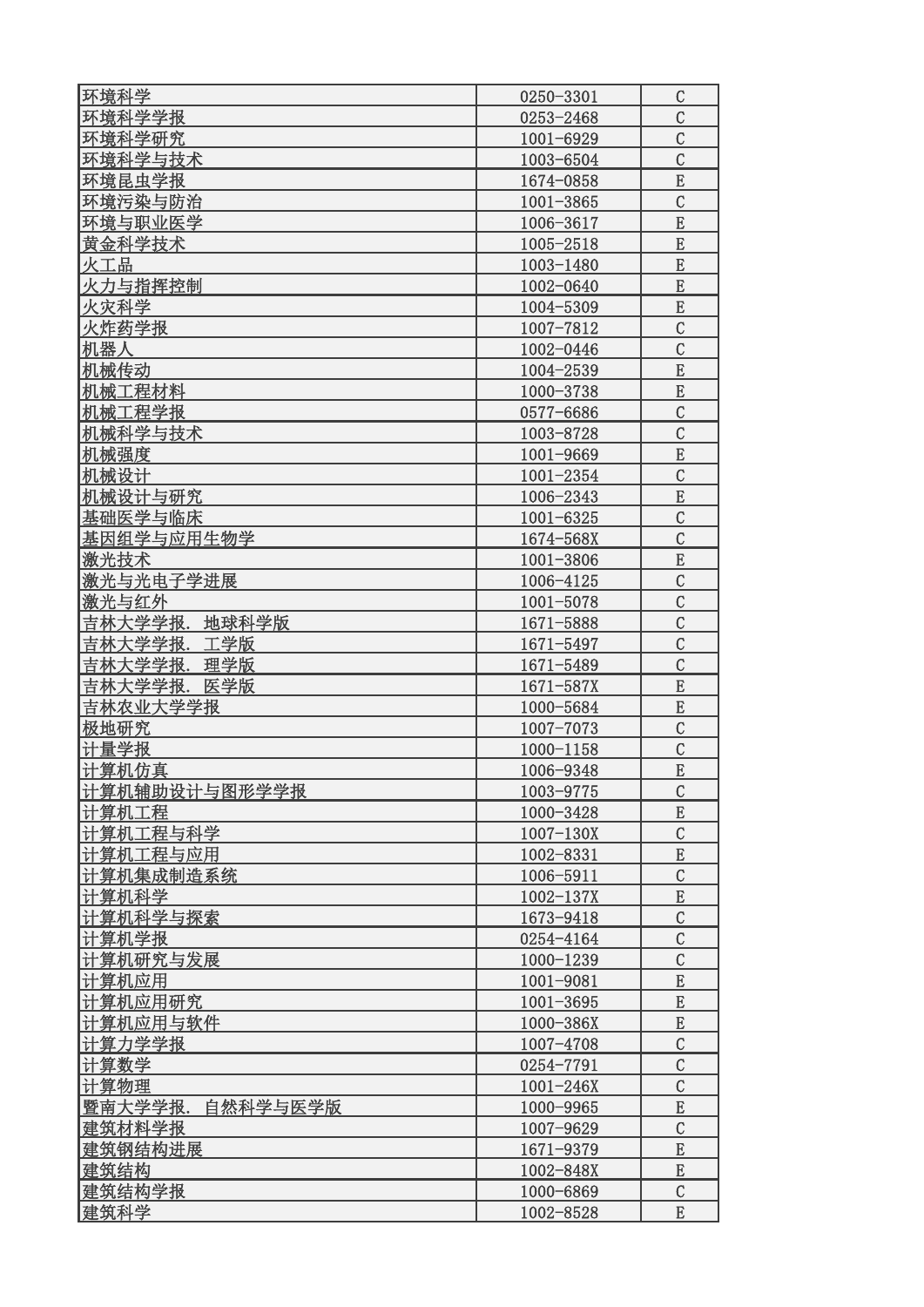| 环境科学                | 0250-3301                  | C              |
|---------------------|----------------------------|----------------|
| 环境科学学报              | 0253-2468                  | $\mathcal{C}$  |
| 环境科学研究              | 1001-6929                  | $\mathcal{C}$  |
| 环境科学与技术             | 1003-6504                  | $\overline{C}$ |
| 环境昆虫学报              | 1674-0858                  | E              |
| 环境污染与防治             | 1001-3865                  | $\mathcal{C}$  |
| 环境与职业医学             | 1006-3617                  | E              |
| 黄金科学技术              | 1005-2518                  | E              |
| 火工品                 | 1003-1480                  | E              |
| 火力与指挥控制             | 1002-0640                  | E              |
| 火灾科学                | 1004-5309                  | E              |
| 火炸药学报               | 1007-7812                  | $\mathcal{C}$  |
| 机器人                 | 1002-0446                  | $\overline{C}$ |
| 机械传动                | 1004-2539                  | E              |
| 机械工程材料              | 1000-3738                  | $\overline{E}$ |
| 机械工程学报              | 0577-6686                  | $\mathcal{C}$  |
| 机械科学与技术             | 1003-8728                  | $\overline{C}$ |
| 机械强度                | 1001-9669                  | E              |
| 机械设计                |                            | $\mathcal{C}$  |
| 机械设计与研究             | $1001 - 2354$<br>1006-2343 | E              |
| 基础医学与临床             |                            | $\mathcal{C}$  |
|                     | 1001-6325                  |                |
| 基因组学与应用生物学          | 1674-568X                  | $\mathcal{C}$  |
| 激光技术                | $1001 - 3806$              | E              |
| 激光与光电子学进展           | 1006-4125                  | $\mathcal{C}$  |
| 激光与红外               | 1001-5078                  | $\overline{C}$ |
| 吉林大学学报.<br>地球科学版    | 1671-5888                  | $\mathcal{C}$  |
| 吉林大学学报.<br>工学版      | 1671-5497                  | $\mathcal{C}$  |
| 吉林大学学报.<br>理学版      | 1671-5489                  | $\mathcal{C}$  |
| 吉林大学学报. 医学版         | 1671-587X                  | E              |
| 吉林农业大学学报            | 1000-5684                  | E              |
| 极地研究                | 1007-7073                  | $\mathcal{C}$  |
| 计量学报                | 1000-1158                  | $\mathcal{C}$  |
| 计算机仿真               | 1006-9348                  | ${\bf E}$      |
| 计算机辅助设计与图形学学报       | 1003-9775                  | $\mathcal{C}$  |
| 计算机工程               | 1000-3428                  | E              |
| 计算机工程与科学            | $1007 - 130X$              | $\mathcal{C}$  |
| 计算机工程与应用            | 1002-8331                  | E              |
| 计算机集成制造系统           | 1006-5911                  | $\overline{C}$ |
| 计算机科学               | 1002-137X                  | E              |
| 计算机科学与探索            | 1673-9418                  | $\mathcal{C}$  |
| 计算机学报               | 0254-4164                  | $\mathcal{C}$  |
| 计算机研究与发展            | $1000 - 1239$              | $\mathcal{C}$  |
| 计算机应用               | 1001-9081                  | E              |
| 计算机应用研究             | $1001 - 3695$              | E              |
| 计算机应用与软件            | 1000-386X                  | E              |
| 计算力学学报              | 1007-4708                  | $\mathcal{C}$  |
| 计算数学                | 0254-7791                  | $\mathcal{C}$  |
| 计算物理                | $1001 - 246X$              | $\mathcal{C}$  |
| 暨南大学学报.<br>自然科学与医学版 | 1000-9965                  | E              |
| 建筑材料学报              | 1007-9629                  | $\mathcal{C}$  |
| 建筑钢结构进展             | 1671-9379                  | E              |
| 建筑结构                | 1002-848X                  | E              |
| 建筑结构学报              | 1000-6869                  | $\mathcal{C}$  |
| 建筑科学                | 1002-8528                  | E              |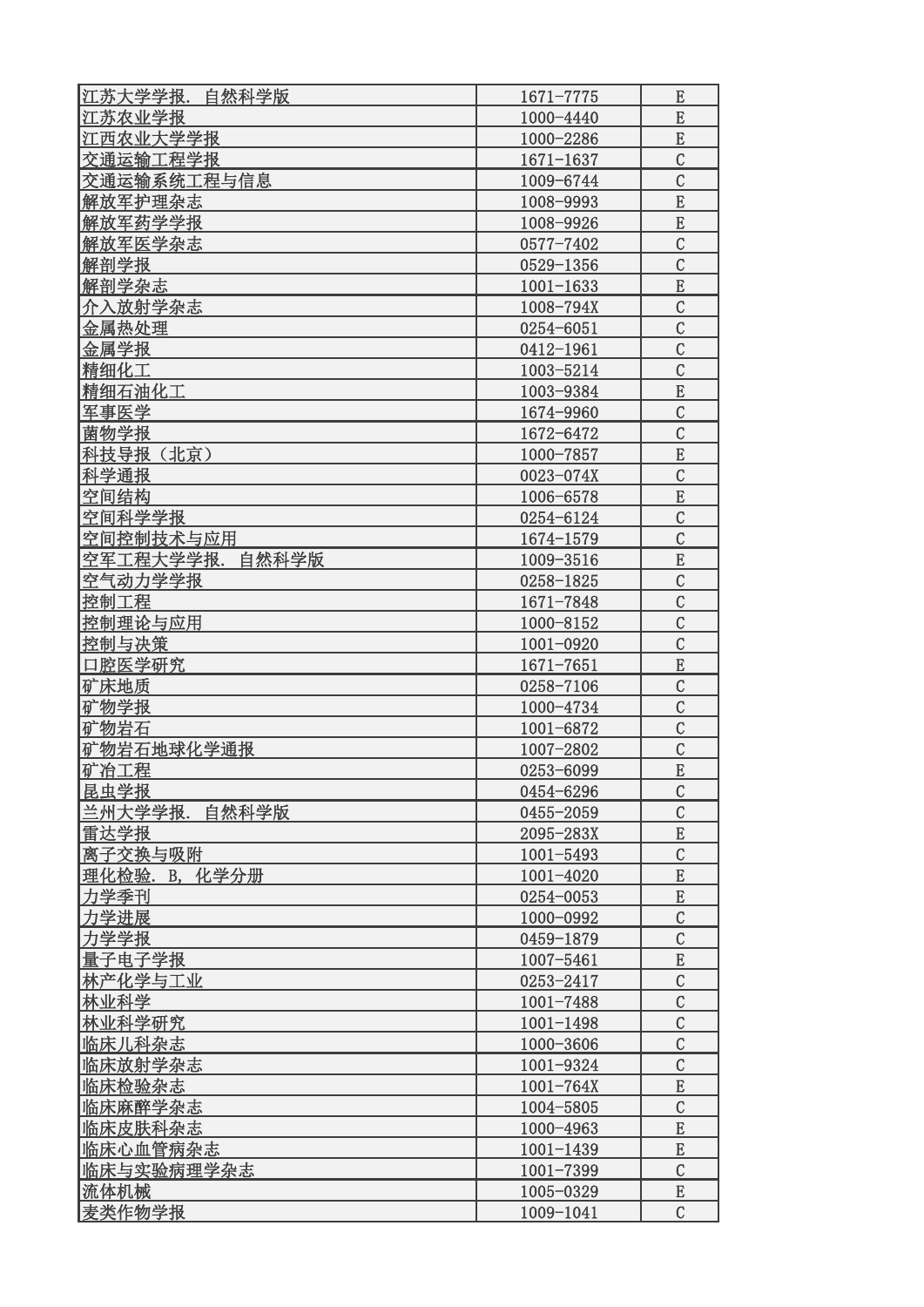| 江苏大学学报.<br>自然科学版 | 1671-7775     | E                               |
|------------------|---------------|---------------------------------|
| 江苏农业学报           | 1000-4440     | E                               |
| 江西农业大学学报         | 1000-2286     | ${\bf E}$                       |
| 交通运输工程学报         | $1671 - 1637$ | $\mathcal{C}$                   |
| 交通运输系统工程与信息      | 1009-6744     | $\mathcal{C}$                   |
| 解放军护理杂志          | 1008-9993     | E                               |
| 解放军药学学报          | 1008-9926     | E                               |
| 解放军医学杂志          | 0577-7402     | $\overline{C}$                  |
| 解剖学报             | 0529-1356     | $\overline{C}$                  |
| 解剖学杂志            | $1001 - 1633$ | E                               |
| 介入放射学杂志          | 1008-794X     | $\mathcal{C}$                   |
| 金属热处理            | 0254-6051     | $\mathcal{C}$                   |
| 金属学报             | 0412-1961     | $\mathcal{C}$                   |
| 精细化工             | 1003-5214     | $\mathcal{C}$                   |
| 精细石油化工           | 1003-9384     | E                               |
| 军事医学             | 1674-9960     | $\mathcal{C}$                   |
| 菌物学报             | 1672-6472     | $\mathcal{C}$                   |
| 科技导报(北京)         | 1000-7857     | E                               |
| 科学通报             | 0023-074X     | $\mathcal{C}$                   |
| 空间结构             | 1006-6578     | ${\bf E}$                       |
| 空间科学学报           | 0254-6124     | $\overline{C}$                  |
| 空间控制技术与应用        | 1674-1579     | $\mathcal{C}$                   |
| 空军工程大学学报.自然科学版   | 1009-3516     | E                               |
| 空气动力学学报          | 0258-1825     | $\mathcal{C}$                   |
| 控制工程             | 1671-7848     | $\mathcal{C}$                   |
| 控制理论与应用          | 1000-8152     | $\mathcal{C}$                   |
| 控制与决策            |               | $\mathcal{C}$                   |
| 口腔医学研究           | 1001-0920     |                                 |
| 矿床地质             | 1671-7651     | ${\bf E}$<br>$\mathcal{C}$      |
|                  | 0258-7106     | $\mathcal{C}$                   |
| 矿物学报             | 1000-4734     |                                 |
| 矿物岩石             | 1001-6872     | $\mathcal{C}$<br>$\overline{C}$ |
| 矿物岩石地球化学通报       | 1007-2802     | E                               |
| 矿冶工程<br>昆虫学报     | 0253-6099     |                                 |
|                  | 0454-6296     | $\mathcal{C}$<br>$\mathcal{C}$  |
| 兰州大学学报.自然科学版     | 0455-2059     |                                 |
| 雷达学报             | 2095-283X     | E                               |
| 离子交换与吸附          | $1001 - 5493$ | $\mathcal{C}$                   |
| 理化检验. B. 化学分册    | $1001 - 4020$ | E                               |
| 力学季刊             | 0254-0053     | E                               |
| 力学进展             | 1000-0992     | $\mathcal{C}$                   |
| 力学学报             | 0459-1879     | $\mathcal{C}$                   |
| 量子电子学报           | 1007-5461     | E                               |
| 林产化学与工业          | 0253-2417     | $\mathcal{C}$                   |
| 林业科学             | $1001 - 7488$ | $\mathcal{C}$                   |
| 林业科学研究           | $1001 - 1498$ | $\mathcal{C}$                   |
| 临床儿科杂志           | 1000-3606     | $\mathcal{C}$                   |
| 临床放射学杂志          | 1001-9324     | $\mathcal{C}$                   |
| 临床检验杂志           | $1001 - 764X$ | E                               |
| 临床麻醉学杂志          | 1004-5805     | $\mathcal{C}$                   |
| 临床皮肤科杂志          | 1000-4963     | E                               |
| 临床心血管病杂志         | $1001 - 1439$ | ${\bf E}$                       |
| 临床与实验病理学杂志       | $1001 - 7399$ | $\mathcal{C}$                   |
| 流体机械             | 1005-0329     | $\mathbf E$                     |
| 麦类作物学报           | 1009-1041     | $\overline{C}$                  |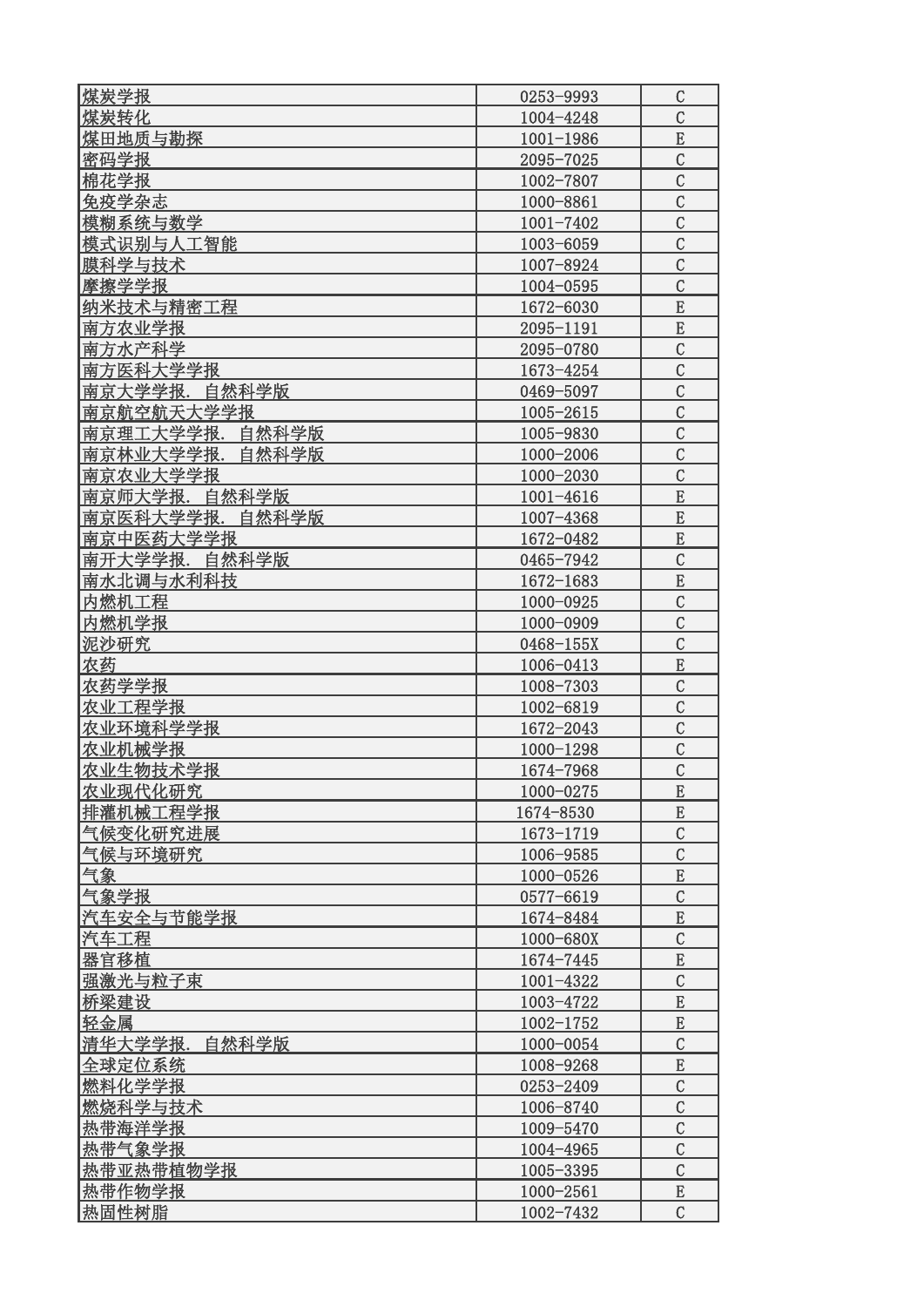| 煤炭学报               | 0253-9993     | $\mathcal{C}$  |
|--------------------|---------------|----------------|
| 煤炭转化               | 1004-4248     | $\mathcal{C}$  |
| 煤田地质与勘探            | $1001 - 1986$ | E              |
| 密码学报               | 2095-7025     | $\mathcal{C}$  |
| 棉花学报               | 1002-7807     | $\mathcal{C}$  |
| 免疫学杂志              | 1000-8861     | $\mathcal{C}$  |
| 模糊系统与数学            | 1001-7402     | $\mathcal{C}$  |
| 模式识别与人工智能          | 1003-6059     | $\mathcal{C}$  |
| 膜科学与技术             | 1007-8924     | $\mathcal{C}$  |
| 摩擦学学报              | 1004-0595     | $\mathcal{C}$  |
| 纳米技术与精密工程          | 1672-6030     | E              |
| 南方农业学报             | 2095-1191     | E              |
| 南方水产科学             | 2095-0780     | $\mathcal{C}$  |
| 南方医科大学学报           | 1673-4254     | $\mathcal{C}$  |
| 南京大学学报.自然科学版       | 0469-5097     | $\mathcal{C}$  |
| 南京航空航天大学学报         | 1005-2615     | $\mathcal{C}$  |
| 南京理工大学学报.<br>自然科学版 | 1005-9830     | $\mathcal{C}$  |
| 南京林业大学学报.<br>自然科学版 | 1000-2006     | $\mathcal{C}$  |
| 南京农业大学学报           | 1000-2030     | $\mathcal{C}$  |
| 南京师大学报.<br>自然科学版   | $1001 - 4616$ | E              |
| 南京医科大学学报.<br>自然科学版 | 1007-4368     | $\overline{E}$ |
| 南京中医药大学学报          | 1672-0482     | ${\bf E}$      |
| 南开大学学报. 自然科学版      | 0465-7942     | $\overline{C}$ |
| 南水北调与水利科技          | 1672-1683     | ${\bf E}$      |
| 内燃机工程              | 1000-0925     | $\mathcal{C}$  |
| 内燃机学报              | 1000-0909     | $\mathcal{C}$  |
| 泥沙研究               | 0468-155X     | $\mathcal{C}$  |
| 农药                 | 1006-0413     | E              |
| 农药学学报              | 1008-7303     | $\mathcal{C}$  |
| 农业工程学报             | 1002-6819     | $\mathcal{C}$  |
| 农业环境科学学报           | 1672-2043     | $\mathcal{C}$  |
| 农业机械学报             | $1000 - 1298$ | $\mathcal{C}$  |
| 农业生物技术学报           | 1674-7968     | $\mathcal{C}$  |
| 农业现代化研究            | 1000-0275     | E              |
| 排灌机械工程学报           | 1674-8530     | E              |
| 气候变化研究进展           | 1673-1719     | $\mathcal{C}$  |
| 气候与环境研究            | 1006-9585     | $\mathcal{C}$  |
| 气象                 | 1000-0526     | E              |
| 气象学报               | 0577-6619     | $\mathcal{C}$  |
| 汽车安全与节能学报          | 1674-8484     | ${\bf E}$      |
| 汽车工程               | 1000-680X     | $\mathcal{C}$  |
| 器官移植               | 1674-7445     | E              |
| 强激光与粒子束            | 1001-4322     | $\mathcal{C}$  |
| 桥梁建设               | 1003-4722     | E              |
| 轻金属                | 1002-1752     | ${\bf E}$      |
| 清华大学学报.<br>自然科学版   | 1000-0054     | $\overline{C}$ |
| 全球定位系统             | 1008-9268     | E              |
| 燃料化学学报             | 0253-2409     | $\mathcal{C}$  |
| 燃烧科学与技术            | 1006-8740     | $\mathcal{C}$  |
| 热带海洋学报             | 1009-5470     | $\mathcal{C}$  |
| 热带气象学报             | 1004-4965     | $\mathcal{C}$  |
| 热带亚热带植物学报          | 1005-3395     | $\mathcal{C}$  |
| 热带作物学报             | 1000-2561     | E              |
| 热固性树脂              | 1002-7432     | $\mathcal{C}$  |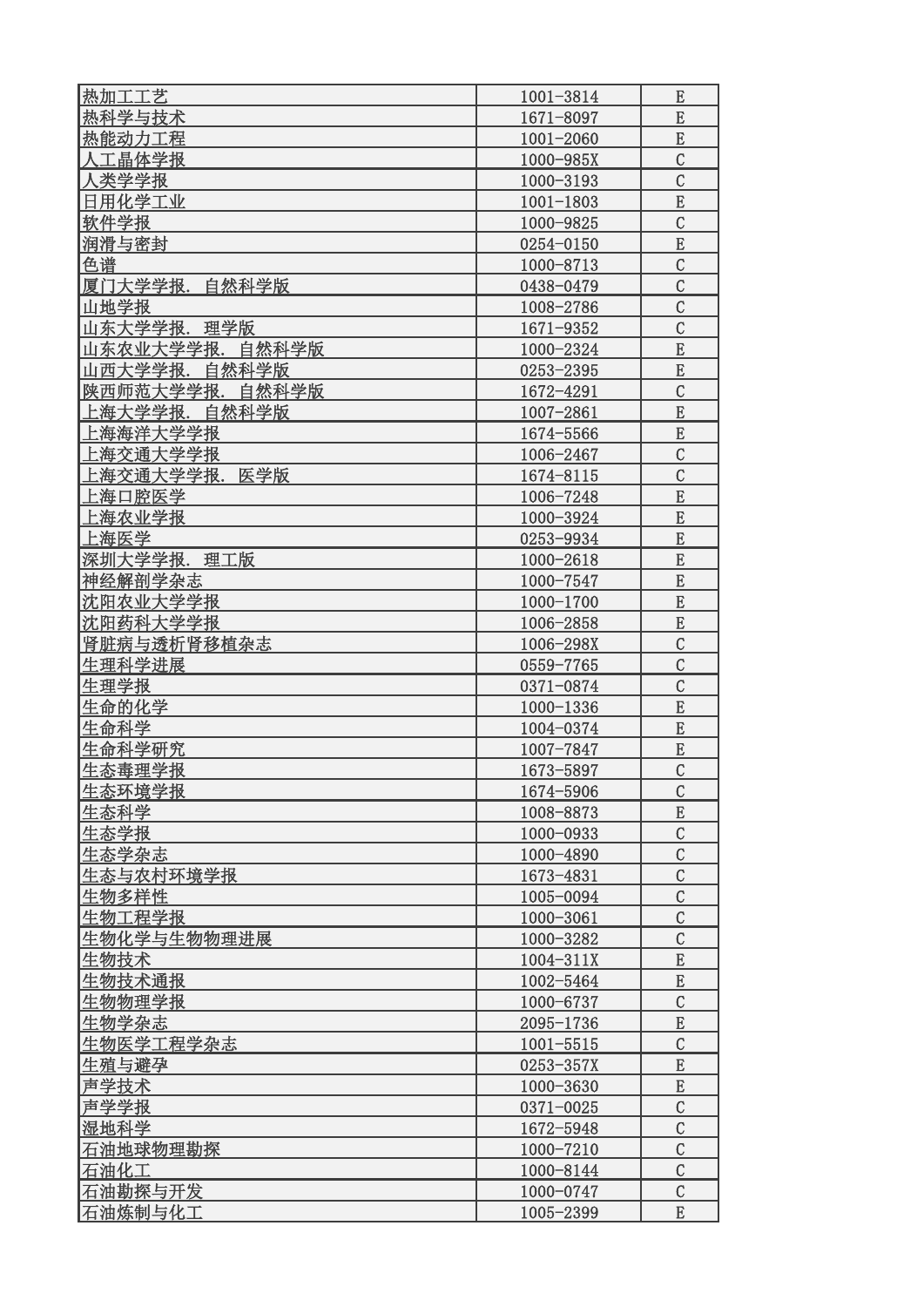| 热加工工艺              | 1001-3814     | E              |
|--------------------|---------------|----------------|
| 热科学与技术             | 1671-8097     | E              |
| 热能动力工程             | 1001-2060     | E              |
| 人工晶体学报             | 1000-985X     | $\overline{C}$ |
| 人类学学报              | 1000-3193     | $\mathcal{C}$  |
| 日用化学工业             | $1001 - 1803$ | E              |
|                    |               | $\overline{C}$ |
| 软件学报               | 1000-9825     |                |
| 润滑与密封              | 0254-0150     | E              |
| 色谱                 | 1000-8713     | $\overline{C}$ |
| 厦门大学学报. 自然科学版      | 0438-0479     | $\overline{C}$ |
| 山地学报               | 1008-2786     | $\mathcal{C}$  |
| 山东大学学报. 理学版        | 1671-9352     | $\mathcal{C}$  |
| 山东农业大学学报. 自然科学版    | 1000-2324     | E              |
| 山西大学学报. 自然科学版      | 0253-2395     | E              |
| 陕西师范大学学报.<br>自然科学版 | 1672-4291     | $\overline{C}$ |
| 上海大学学报.<br>自然科学版   | 1007-2861     | E              |
| 上海海洋大学学报           | 1674-5566     | E              |
| 上海交通大学学报           | 1006-2467     | $\overline{C}$ |
| 上海交通大学学报.<br>医学版   | 1674-8115     | $\mathcal{C}$  |
| 上海口腔医学             | 1006-7248     | E              |
| 上海农业学报             | 1000-3924     | E              |
| 上海医学               | 0253-9934     | E              |
| 深圳大学学报. 理工版        | 1000-2618     | E              |
| 神经解剖学杂志            | 1000-7547     | E              |
| 沈阳农业大学学报           | 1000-1700     | E              |
| 沈阳药科大学学报           | 1006-2858     | E              |
| 肾脏病与透析肾移植杂志        | 1006-298X     | $\overline{C}$ |
| 生理科学进展             | 0559-7765     | $\mathcal{C}$  |
| 生理学报               | 0371-0874     | $\overline{C}$ |
| 生命的化学              | 1000-1336     | E              |
|                    |               | E              |
| 生命科学               | 1004-0374     |                |
| 生命科学研究             | 1007-7847     | E              |
| 生态毒理学报             | 1673-5897     | $\mathcal{C}$  |
| 生态环境学报             | 1674-5906     | $\mathcal{C}$  |
| 生态科学               | 1008-8873     | ${\bf E}$      |
| 生态学报               | 1000-0933     | $\mathcal{C}$  |
| 生态学杂志              | 1000-4890     | $\mathcal{C}$  |
| 生态与农村环境学报          | 1673-4831     | $\overline{C}$ |
| 生物多样性              | 1005-0094     | $\overline{C}$ |
| 生物工程学报             | 1000-3061     | $\overline{C}$ |
| 生物化学与生物物理进展        | 1000-3282     | $\mathcal{C}$  |
| 生物技术               | $1004 - 311X$ | E              |
| 生物技术通报             | 1002-5464     | ${\bf E}$      |
| 生物物理学报             | 1000-6737     | $\overline{C}$ |
| 生物学杂志              | 2095-1736     | E              |
| 生物医学工程学杂志          | $1001 - 5515$ | $\mathcal{C}$  |
| 生殖与避孕              | 0253-357X     | E              |
| 声学技术               | 1000-3630     | E              |
| 声学学报               | 0371-0025     | $\mathcal{C}$  |
| 湿地科学               | 1672-5948     | $\mathcal{C}$  |
| 石油地球物理勘探           | 1000-7210     | $\mathcal{C}$  |
| 石油化工               | 1000-8144     | $\mathcal{C}$  |
| 石油勘探与开发            | 1000-0747     | $\mathcal{C}$  |
| 石油炼制与化工            |               | E              |
|                    | 1005-2399     |                |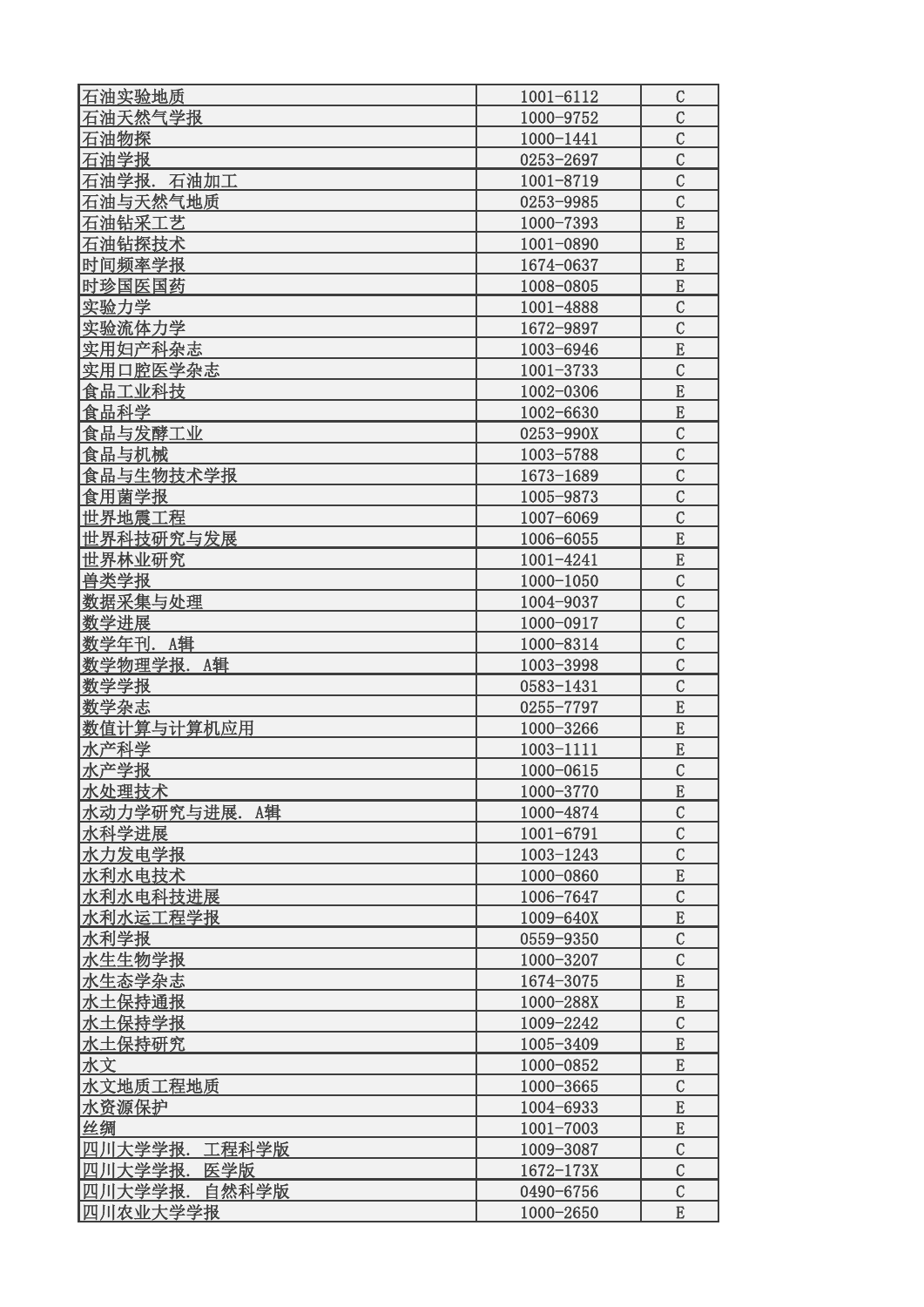| 石油实验地质           | 1001-6112     | $\mathsf C$    |
|------------------|---------------|----------------|
| 石油天然气学报          | 1000-9752     | $\mathcal{C}$  |
| 石油物探             | 1000-1441     | $\overline{C}$ |
| 石油学报             | 0253-2697     | $\overline{C}$ |
| 石油学报. 石油加工       | 1001-8719     | $\overline{C}$ |
| 石油与天然气地质         | 0253-9985     | $\mathcal{C}$  |
| 石油钻采工艺           | 1000-7393     | E              |
| 石油钻探技术           | 1001-0890     | E              |
| 时间频率学报           | 1674-0637     | E              |
| 时珍国医国药           | 1008-0805     | E              |
| 实验力学             | 1001-4888     | $\mathcal{C}$  |
| 实验流体力学           | 1672-9897     | $\mathcal{C}$  |
| 实用妇产科杂志          | 1003-6946     | E              |
| 实用口腔医学杂志         | $1001 - 3733$ | $\mathcal{C}$  |
| 食品工业科技           | 1002-0306     | E              |
| 食品科学             | 1002-6630     | E              |
| 食品与发酵工业          | 0253-990X     | $\mathcal{C}$  |
| 食品与机械            | 1003-5788     | $\mathcal{C}$  |
| 食品与生物技术学报        | 1673-1689     | $\mathcal{C}$  |
| 食用菌学报            | 1005-9873     | $\mathcal{C}$  |
| 世界地震工程           | 1007-6069     | $\mathcal{C}$  |
| 世界科技研究与发展        | 1006-6055     | ${\bf E}$      |
| 世界林业研究           | 1001-4241     | E              |
| 兽类学报             | 1000-1050     | $\mathcal{C}$  |
| 数据采集与处理          | 1004-9037     | $\mathcal{C}$  |
| 数学进展             | 1000-0917     | $\overline{C}$ |
| 数学年刊. A辑         | 1000-8314     | $\overline{C}$ |
| 数学物理学报. A辑       | 1003-3998     | $\overline{C}$ |
| 数学学报             | 0583-1431     | $\mathcal{C}$  |
| 数学杂志             | 0255-7797     | E              |
| 数值计算与计算机应用       | 1000-3266     | E              |
| 水产科学             | 1003-1111     | E              |
| 水产学报             | 1000-0615     | $\mathcal{C}$  |
| 水处理技术            | 1000-3770     | E              |
| 水动力学研究与进展.A辑     | 1000-4874     | $\mathcal{C}$  |
| 水科学进展            | 1001-6791     | $\mathcal{C}$  |
| 水力发电学报           | 1003-1243     | $\mathcal{C}$  |
| 水利水电技术           | 1000-0860     | E              |
| 水利水电科技进展         | 1006-7647     | $\mathcal{C}$  |
| 水利水运工程学报         | 1009-640X     | ${\bf E}$      |
| 水利学报             | 0559-9350     | $\mathcal{C}$  |
| 水生生物学报           | 1000-3207     | $\mathcal{C}$  |
| 水生态学杂志           | 1674-3075     | ${\bf E}$      |
| 水土保持通报           | 1000-288X     | E              |
| 水土保持学报           | 1009-2242     | $\mathcal{C}$  |
| 水土保持研究           | 1005-3409     | E              |
| 水文               | 1000-0852     | ${\bf E}$      |
| 水文地质工程地质         | 1000-3665     | $\mathcal{C}$  |
| 水资源保护            | 1004-6933     | E              |
| 丝绸               | $1001 - 7003$ | ${\bf E}$      |
| 四川大学学报.<br>工程科学版 | 1009-3087     | $\mathcal{C}$  |
| 四川大学学报.<br>医学版   | $1672 - 173X$ | $\mathcal{C}$  |
| 四川大学学报.<br>自然科学版 | 0490-6756     | $\mathcal{C}$  |
| 四川农业大学学报         | 1000-2650     | ${\bf E}$      |
|                  |               |                |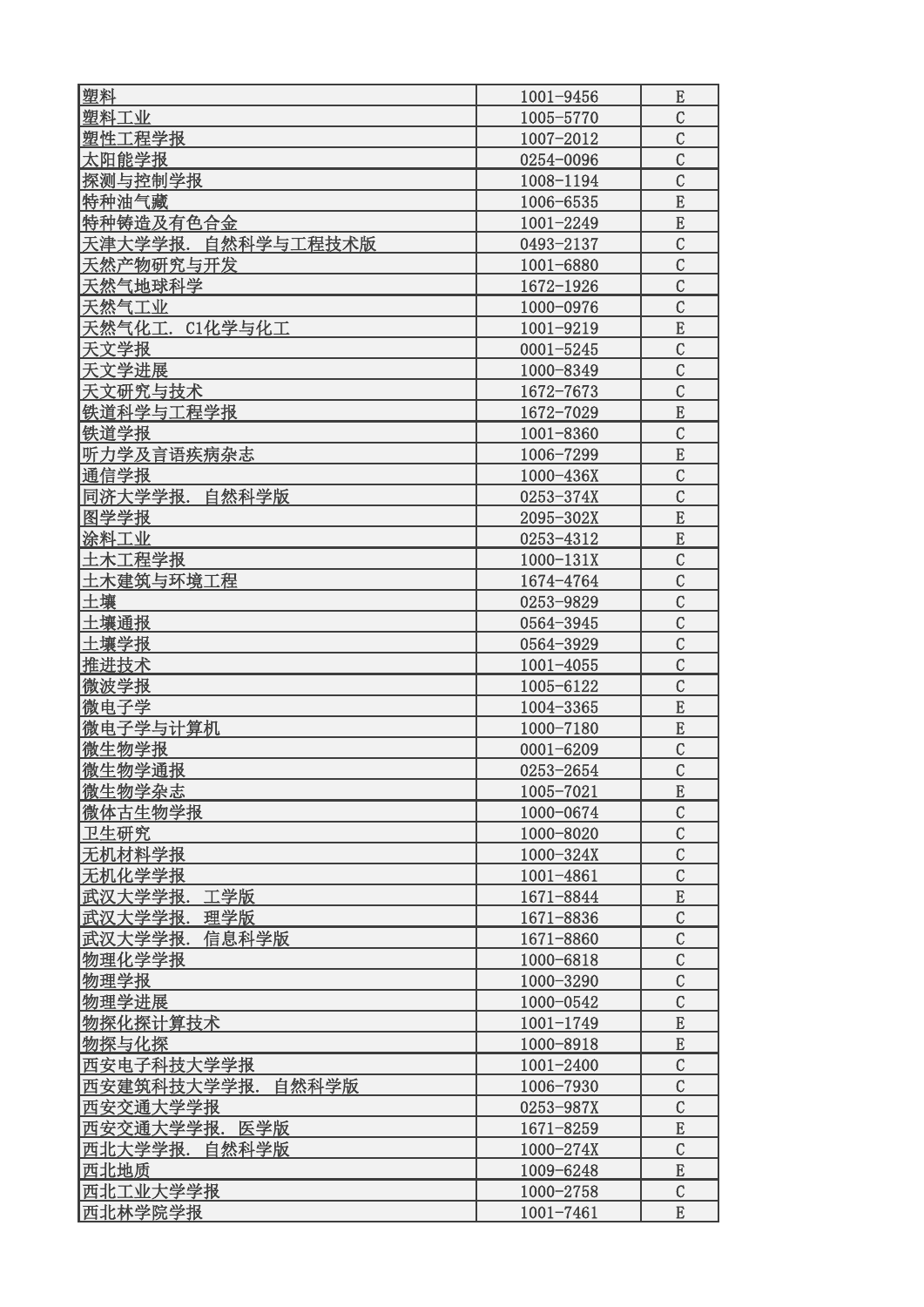| 塑料                 | 1001-9456     | E              |
|--------------------|---------------|----------------|
| 塑料工业               | 1005-5770     | $\mathcal{C}$  |
| 塑性工程学报             | 1007-2012     | $\mathcal{C}$  |
| 太阳能学报              | 0254-0096     | $\mathcal{C}$  |
| 探测与控制学报            | 1008-1194     | $\mathcal{C}$  |
| 特种油气藏              | 1006-6535     | E              |
| 特种铸造及有色合金          | 1001-2249     | E              |
| 天津大学学报. 自然科学与工程技术版 | 0493-2137     | $\mathcal{C}$  |
| 天然产物研究与开发          | 1001-6880     | $\mathcal{C}$  |
| 天然气地球科学            | 1672-1926     | $\mathcal{C}$  |
| 天然气工业              | 1000-0976     | $\mathcal{C}$  |
| 天然气化工. C1化学与化工     | 1001-9219     | E              |
| 天文学报               | $0001 - 5245$ | $\mathcal{C}$  |
| 天文学进展              | 1000-8349     | $\mathcal{C}$  |
| 天文研究与技术            | 1672-7673     | $\mathcal{C}$  |
| 铁道科学与工程学报          | 1672-7029     | E              |
| 供道学报               | 1001-8360     | $\mathcal{C}$  |
| 听力学及言语疾病杂志         | 1006-7299     | E              |
| 通信学报               | 1000-436X     | $\mathcal{C}$  |
| 同济大学学报. 自然科学版      | 0253-374X     | $\overline{C}$ |
| 图学学报               | 2095-302X     | E              |
| 涂料工业               | 0253-4312     | $\mathbf E$    |
| 土木工程学报             | 1000-131X     | $\mathcal{C}$  |
| 土木建筑与环境工程          | 1674-4764     | $\mathcal{C}$  |
| 土壤                 | 0253-9829     | $\mathcal{C}$  |
| 土壤通报               | 0564-3945     | $\mathcal{C}$  |
| 土壤学报               | 0564-3929     | $\mathcal{C}$  |
| 推进技术               | $1001 - 4055$ | $\mathcal{C}$  |
| 微波学报               | 1005-6122     | $\mathcal{C}$  |
| 微电子学               | 1004-3365     | E              |
| 微电子学与计算机           | 1000-7180     | E              |
| 微生物学报              | $0001 - 6209$ | $\mathcal{C}$  |
| 微生物学通报             | 0253-2654     | $\mathcal{C}$  |
| 微生物学杂志             | 1005-7021     | E              |
| 微体古生物学报            | 1000-0674     | $\mathcal{C}$  |
| 卫生研究               | 1000-8020     | $\mathcal{C}$  |
| 无机材料学报             | 1000-324X     | $\mathcal{C}$  |
| 无机化学学报             | 1001-4861     | $\mathcal{C}$  |
| 武汉大学学报.<br>工学版     | 1671-8844     | E              |
| 武汉大学学报.<br>理学版     | 1671-8836     | $\mathcal{C}$  |
| 武汉大学学报.<br>信息科学版   | 1671-8860     | $\mathcal{C}$  |
| 物理化学学报             | 1000-6818     | $\mathcal{C}$  |
| 物理学报               | 1000-3290     | $\mathcal{C}$  |
| 物理学进展              | 1000-0542     | $\mathcal{C}$  |
| 物探化探计算技术           | $1001 - 1749$ | E              |
| 物探与化探              | 1000-8918     | E              |
| 西安电子科技大学学报         | $1001 - 2400$ | $\mathcal{C}$  |
| 西安建筑科技大学学报. 自然科学版  | 1006-7930     | $\mathcal{C}$  |
| 西安交通大学学报           | 0253-987X     | $\mathcal{C}$  |
| 西安交通大学学报.<br>医学版   | 1671-8259     | ${\bf E}$      |
| 西北大学学报.<br>自然科学版   | 1000-274X     | $\mathcal{C}$  |
| 西北地质               | 1009-6248     | E              |
| 西北工业大学学报           | 1000-2758     | $\mathcal{C}$  |
| 西北林学院学报            | 1001-7461     | E              |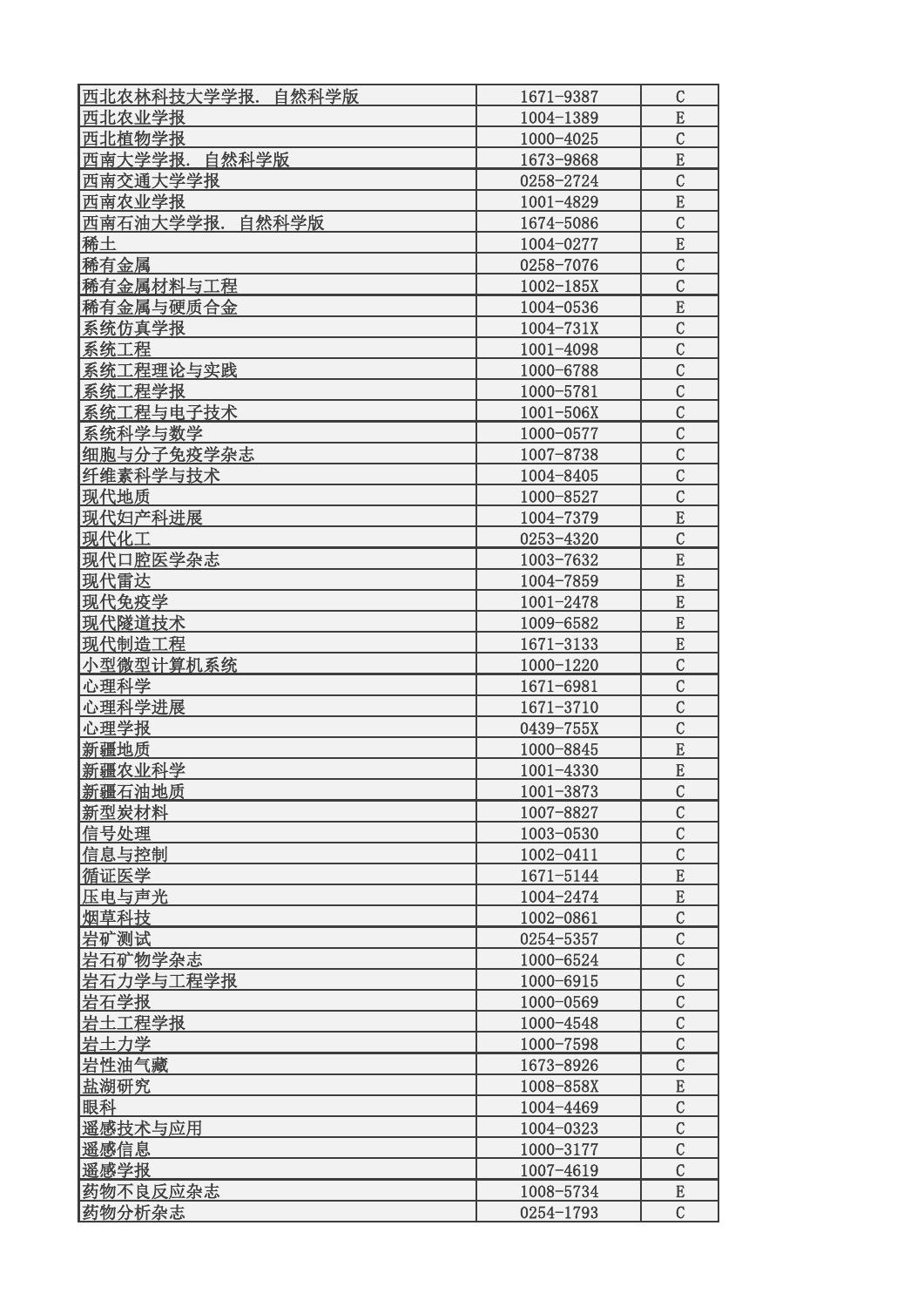| 西北农林科技大学学报.<br>自然科学版 | 1671-9387     | $\mathcal{C}$  |
|----------------------|---------------|----------------|
| 西北农业学报               | 1004-1389     | E              |
| 西北植物学报               | 1000-4025     | $\mathcal{C}$  |
| 西南大学学报. 自然科学版        | 1673-9868     | ${\bf E}$      |
| 西南交通大学学报             | 0258-2724     | $\overline{C}$ |
| 西南农业学报               | 1001-4829     | $\mathbf E$    |
| 西南石油大学学报.<br>自然科学版   | 1674-5086     | $\mathcal{C}$  |
| 稀土                   | 1004-0277     | E              |
| 稀有金属                 | 0258-7076     | $\mathcal{C}$  |
| 稀有金属材料与工程            | $1002 - 185X$ | $\mathcal{C}$  |
| 稀有金属与硬质合金            | 1004-0536     | E              |
| 系统仿真学报               | 1004-731X     | $\mathcal{C}$  |
| 系统工程                 | 1001-4098     | $\mathcal{C}$  |
| 系统工程理论与实践            | 1000-6788     | $\mathcal{C}$  |
| 系统工程学报               | 1000-5781     | $\mathcal{C}$  |
| 系统工程与电子技术            | $1001 - 506X$ | $\mathcal{C}$  |
| 系统科学与数学              | 1000-0577     | $\mathcal{C}$  |
| 细胞与分子免疫学杂志           | 1007-8738     | $\mathcal{C}$  |
| 纤维素科学与技术             | 1004-8405     | $\mathcal{C}$  |
| 现代地质                 | 1000-8527     | $\mathcal{C}$  |
| 现代妇产科进展              | 1004-7379     | ${\bf E}$      |
| 现代化工                 | 0253-4320     | $\mathcal{C}$  |
| 现代口腔医学杂志             | 1003-7632     | E              |
| 现代雷达                 | 1004-7859     | $\mathbf E$    |
| 现代免疫学                | 1001-2478     | E              |
| 现代隧道技术               | 1009-6582     | E              |
| 现代制造工程               | 1671-3133     | E              |
| 小型微型计算机系统            | 1000-1220     | $\overline{C}$ |
| 心理科学                 | 1671-6981     | $\mathcal{C}$  |
| 心理科学进展               | 1671-3710     | $\mathcal{C}$  |
| 心理学报                 | 0439-755X     | $\mathcal{C}$  |
| 新疆地质                 | 1000-8845     | E              |
| 新疆农业科学               | 1001-4330     | E              |
| 新疆石油地质               | 1001-3873     | $\mathcal{C}$  |
| 新型炭材料                | 1007-8827     | $\mathcal{C}$  |
| 信号处理                 | 1003-0530     | $\mathcal{C}$  |
| 信息与控制                | 1002-0411     | $\mathcal{C}$  |
| 循证医学                 | 1671-5144     | E              |
| 压电与声光                | 1004-2474     | ${\bf E}$      |
| 烟草科技                 | 1002-0861     | $\mathcal{C}$  |
| 岩矿测试                 | 0254-5357     | $\mathcal{C}$  |
| 岩石矿物学杂志              | 1000-6524     | $\mathcal{C}$  |
| 岩石力学与工程学报            | 1000-6915     | $\mathcal{C}$  |
| 岩石学报                 | 1000-0569     | $\mathcal{C}$  |
| 岩土工程学报               | 1000-4548     | $\mathcal{C}$  |
| <u> 岩土力学</u>         | 1000-7598     | $\mathcal{C}$  |
| 岩性油气藏                | 1673-8926     | $\mathsf C$    |
| 盐湖研究                 | 1008-858X     | ${\bf E}$      |
| 眼科                   | 1004-4469     | $\mathcal{C}$  |
| 遥感技术与应用              | 1004-0323     | $\mathcal{C}$  |
| 遥感信息                 | 1000-3177     | $\mathcal{C}$  |
| 遥感学报                 | 1007-4619     | $\mathcal{C}$  |
| 药物不良反应杂志             | 1008-5734     | E              |
| 药物分析杂志               | 0254-1793     | $\mathcal{C}$  |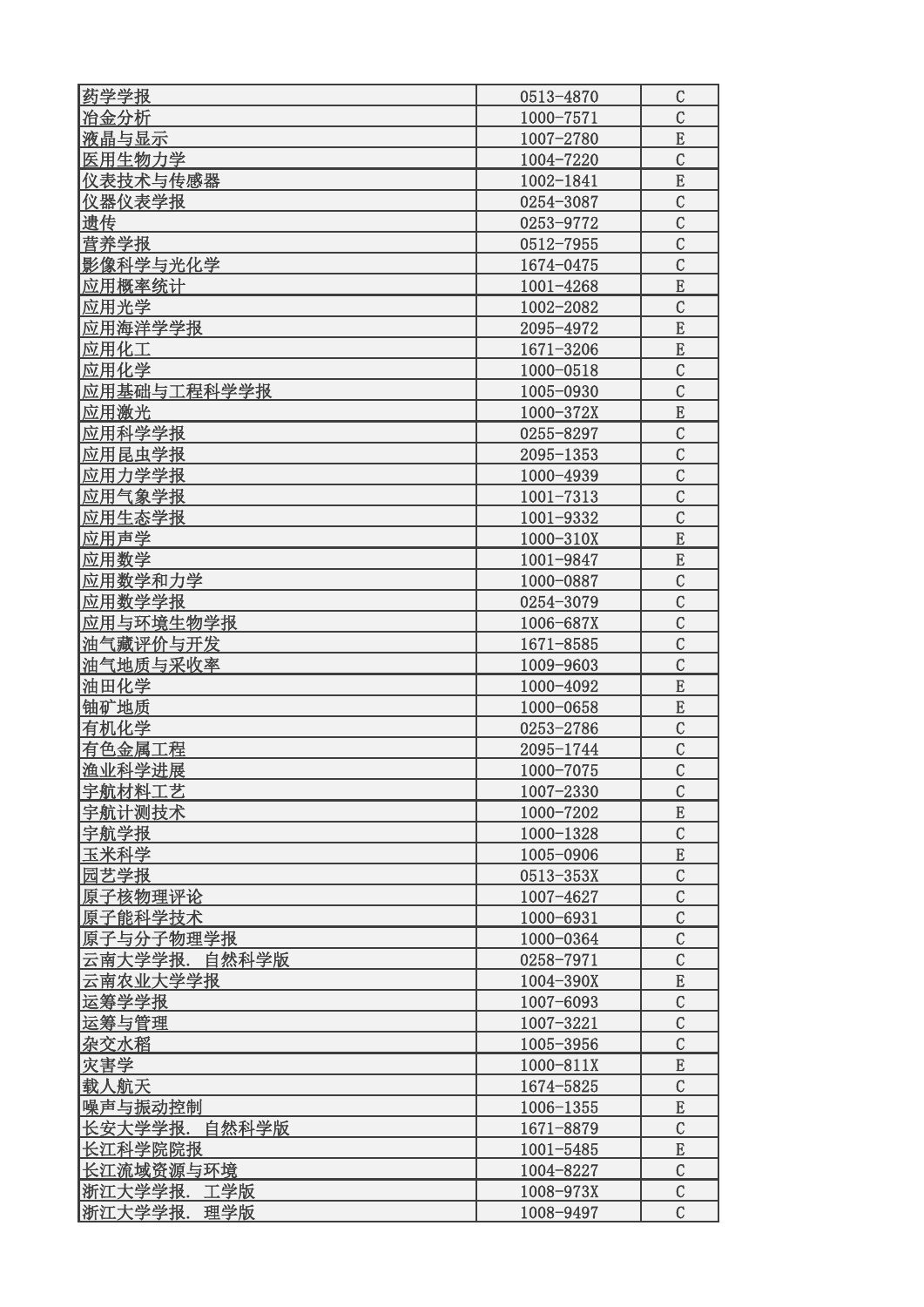| 药学学报             | 0513-4870     | $\mathcal{C}$  |
|------------------|---------------|----------------|
| 冶金分析             | 1000-7571     | $\mathcal{C}$  |
| 液晶与显示            | 1007-2780     | E              |
| 医用生物力学           | 1004-7220     | $\mathcal{C}$  |
| 仪表技术与传感器         | 1002-1841     | E              |
| 仪器仪表学报           | 0254-3087     | $\mathcal{C}$  |
| 遗传               | 0253-9772     | $\mathcal{C}$  |
| 营养学报             | 0512-7955     | $\mathcal{C}$  |
| 影像科学与光化学         | 1674-0475     | $\overline{C}$ |
| 应用概率统计           | 1001-4268     | E              |
| 应用光学             | 1002-2082     | $\mathcal{C}$  |
| 应用海洋学学报          | 2095-4972     | E              |
| 应用化工             | 1671-3206     | E              |
| 应用化学             | 1000-0518     | $\overline{C}$ |
| 应用基础与工程科学学报      | 1005-0930     | $\mathcal{C}$  |
| 应用激光             | 1000-372X     | ${\bf E}$      |
| 应用科学学报           | 0255-8297     | $\mathcal{C}$  |
| 应用昆虫学报           | $2095 - 1353$ | $\mathcal{C}$  |
| 应用力学学报           | 1000-4939     | $\mathcal{C}$  |
| 应用气象学报           | $1001 - 7313$ | $\mathcal{C}$  |
| 应用生态学报           | 1001-9332     | $\mathcal{C}$  |
| 应用声学             | 1000-310X     | E              |
| 应用数学             | 1001-9847     | E              |
| 应用数学和力学          | 1000-0887     | $\mathcal{C}$  |
| 应用数学学报           | 0254-3079     | $\mathcal{C}$  |
|                  |               | $\mathcal{C}$  |
| 应用与环境生物学报        | 1006-687X     | $\mathcal{C}$  |
| 油气藏评价与开发         | 1671-8585     | $\overline{C}$ |
| 油气地质与采收率         | 1009-9603     |                |
| 油田化学             | 1000-4092     | E              |
| 铀矿地质             | 1000-0658     | E              |
| 有机化学             | 0253-2786     | $\mathcal{C}$  |
| 有色金属工程           | 2095-1744     | $\mathcal{C}$  |
| 渔业科学进展           | 1000-7075     | $\overline{C}$ |
| 宇航材料工艺           | 1007-2330     | $\mathcal{C}$  |
| 宇航计测技术           | 1000-7202     | E              |
| 宇航学报             | 1000-1328     | $\mathcal{C}$  |
| 玉米科学             | 1005-0906     | $\mathbf E$    |
| 园艺学报             | 0513-353X     | $\mathcal{C}$  |
| 原子核物理评论          | 1007-4627     | $\mathcal{C}$  |
| 原子能科学技术          | 1000-6931     | $\overline{C}$ |
| 原子与分子物理学报        | 1000-0364     | $\mathcal{C}$  |
| 云南大学学报.<br>自然科学版 | 0258-7971     | $\mathcal{C}$  |
| 云南农业大学学报         | 1004-390X     | E              |
| 运筹学学报            | 1007-6093     | $\mathcal{C}$  |
| 运筹与管理            | 1007-3221     | $\mathcal{C}$  |
| 杂交水稻             | 1005-3956     | $\mathcal{C}$  |
| 灾害学              | $1000 - 811X$ | E              |
| 载人航天             | 1674-5825     | $\mathcal{C}$  |
| 噪声与振动控制          | 1006-1355     | E              |
| 长安大学学报.自然科学版     | 1671-8879     | $\mathcal{C}$  |
| 长江科学院院报          | $1001 - 5485$ | ${\bf E}$      |
| 长江流域资源与环境        | 1004-8227     | $\mathcal{C}$  |
| 浙江大学学报.<br>工学版   | 1008-973X     | $\mathcal{C}$  |
| 浙江大学学报.理学版       | 1008-9497     | $\mathcal{C}$  |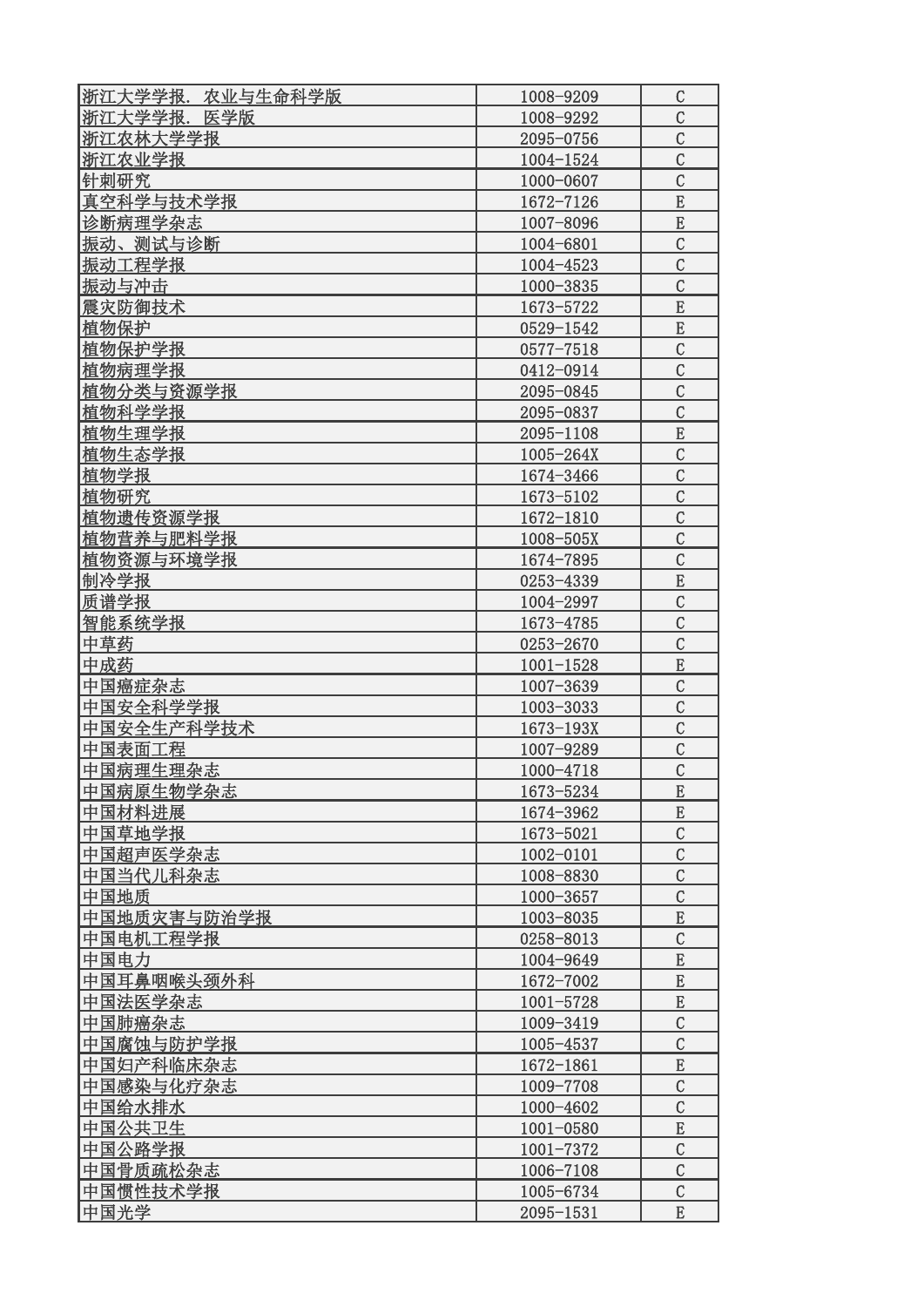| 浙江大学学报.农业与生命科学版 | 1008-9209     | C              |
|-----------------|---------------|----------------|
| 浙江大学学报. 医学版     | 1008-9292     | $\mathcal{C}$  |
| 浙江农林大学学报        | 2095-0756     | $\mathcal{C}$  |
| 浙江农业学报          | 1004-1524     | $\mathcal{C}$  |
| 针刺研究            | 1000-0607     | $\mathcal{C}$  |
| 真空科学与技术学报       | 1672-7126     | E              |
| 诊断病理学杂志         | 1007-8096     | ${\bf E}$      |
| 振动、测试与诊断        | 1004-6801     | $\mathcal{C}$  |
| 振动工程学报          | 1004-4523     | $\mathcal{C}$  |
| 振动与冲击           | 1000-3835     | $\mathcal{C}$  |
| 震灾防御技术          | 1673-5722     | E              |
| 植物保护            | 0529-1542     | ${\bf E}$      |
| 植物保护学报          | $0577 - 7518$ | $\mathcal{C}$  |
| 植物病理学报          | 0412-0914     | $\mathcal{C}$  |
| 植物分类与资源学报       | 2095-0845     | $\overline{C}$ |
| 植物科学学报          | 2095-0837     | $\mathcal{C}$  |
| 植物生理学报          | 2095-1108     | ${\bf E}$      |
| 植物生态学报          | $1005 - 264X$ | $\mathcal{C}$  |
| 植物学报            | 1674-3466     | $\mathcal{C}$  |
| 植物研究            | 1673-5102     | $\mathcal{C}$  |
| 植物遗传资源学报        | 1672-1810     | $\mathcal{C}$  |
| 植物营养与肥料学报       | 1008-505X     | $\mathcal{C}$  |
| 植物资源与环境学报       |               | $\mathcal{C}$  |
|                 | 1674-7895     |                |
| 制冷学报            | 0253-4339     | ${\bf E}$      |
| 质谱学报            | 1004-2997     | $\mathcal{C}$  |
| 智能系统学报          | 1673-4785     | $\mathcal{C}$  |
| 中草药             | 0253-2670     | $\mathcal{C}$  |
| 中成药             | $1001 - 1528$ | E              |
| 中国癌症杂志          | 1007-3639     | $\mathcal{C}$  |
| 中国安全科学学报        | 1003-3033     | $\mathcal{C}$  |
| 中国安全生产科学技术      | $1673 - 193X$ | $\mathcal{C}$  |
| 中国表面工程          | 1007-9289     | $\mathcal{C}$  |
| 中国病理生理杂志        | 1000-4718     | $\mathcal{C}$  |
| 中国病原生物学杂志       | 1673-5234     | E              |
| 中国材料进展          | 1674-3962     | E              |
| 中国草地学报          | 1673-5021     | $\mathcal{C}$  |
| 中国超声医学杂志        | 1002-0101     | $\mathcal{C}$  |
| 中国当代儿科杂志        | 1008-8830     | $\overline{C}$ |
| 中国地质            | 1000-3657     | $\mathcal{C}$  |
| 中国地质灾害与防治学报     | 1003-8035     | ${\bf E}$      |
| 中国电机工程学报        | 0258-8013     | $\mathcal{C}$  |
| 中国电力            | 1004-9649     | E              |
| 中国耳鼻咽喉头颈外科      | 1672-7002     | ${\bf E}$      |
| 中国法医学杂志         | 1001-5728     | ${\bf E}$      |
| 中国肺癌杂志          | 1009-3419     | $\mathcal{C}$  |
| 中国腐蚀与防护学报       | 1005-4537     | $\mathcal{C}$  |
| 中国妇产科临床杂志       | 1672-1861     | E              |
| 中国感染与化疗杂志       | 1009-7708     | $\mathcal{C}$  |
| 中国给水排水          | 1000-4602     | $\mathcal{C}$  |
| 中国公共卫生          | 1001-0580     | ${\bf E}$      |
| 中国公路学报          | 1001-7372     | $\mathcal{C}$  |
| 中国骨质疏松杂志        | 1006-7108     | $\mathcal{C}$  |
| 中国惯性技术学报        | 1005-6734     | $\mathcal{C}$  |
| 中国光学            | 2095-1531     | E              |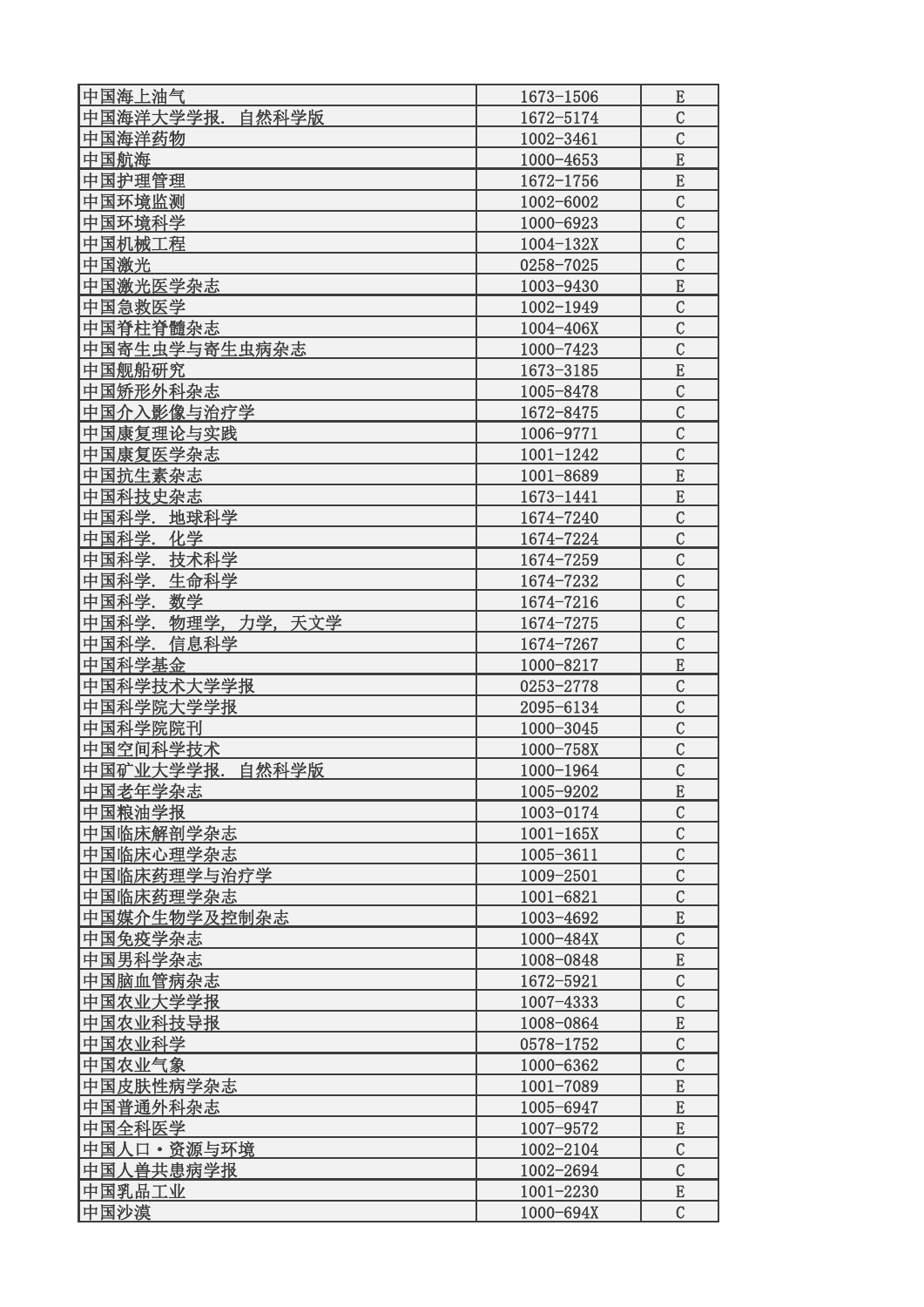| 中国海上油气             | 1673-1506     | E              |
|--------------------|---------------|----------------|
| 中国海洋大学学报.自然科学版     | 1672-5174     | $\mathcal{C}$  |
| 中国海洋药物             | 1002-3461     | $\mathcal{C}$  |
| 中国航海               | 1000-4653     | E              |
| 中国护理管理             | $1672 - 1756$ | $\mathbf E$    |
| 中国环境监测             | 1002-6002     | $\mathcal{C}$  |
| 中国环境科学             | 1000-6923     | $\mathcal{C}$  |
| 中国机械工程             | $1004 - 132X$ | $\mathcal{C}$  |
| 中国激光               | 0258-7025     | $\overline{C}$ |
| 中国激光医学杂志           | 1003-9430     | ${\bf E}$      |
| 中国急救医学             | 1002-1949     | $\mathcal{C}$  |
| 中国脊柱脊髓杂志           | 1004-406X     | $\mathcal{C}$  |
| 中国寄生虫学与寄生虫病杂志      | 1000-7423     | $\mathcal{C}$  |
| 中国舰船研究             | 1673-3185     | ${\bf E}$      |
| 中国矫形外科杂志           | 1005-8478     | $\mathcal{C}$  |
| 中国介入影像与治疗学         | 1672-8475     | $\mathcal{C}$  |
| 中国康复理论与实践          | 1006-9771     | $\mathcal{C}$  |
| 中国康复医学杂志           | $1001 - 1242$ | $\mathcal{C}$  |
| 中国抗生素杂志            | 1001-8689     | E              |
| 中国科技史杂志            | 1673-1441     | E              |
| 中国科学.地球科学          | 1674-7240     | $\mathcal{C}$  |
| 中国科学.化学            | 1674-7224     | $\mathcal{C}$  |
| 中国科学.技术科学          | 1674-7259     | $\mathcal{C}$  |
| 中国科学. 生命科学         | 1674-7232     | $\mathcal{C}$  |
| 中国科学.数学            | 1674-7216     | $\mathcal{C}$  |
| 中国科学.物理学,力学,天文学    | 1674-7275     | $\mathcal{C}$  |
| 中国科学.信息科学          | 1674-7267     | $\overline{C}$ |
| 中国科学基金             | 1000-8217     | ${\bf E}$      |
| 中国科学技术大学学报         | 0253-2778     | $\mathcal{C}$  |
| 中国科学院大学学报          | 2095-6134     | $\mathcal{C}$  |
| 中国科学院院刊            | 1000-3045     | $\mathcal{C}$  |
| 中国空间科学技术           | 1000-758X     | $\overline{C}$ |
| 中国矿业大学学报.<br>自然科学版 | 1000-1964     | $\mathcal{C}$  |
| 中国老年学杂志            | 1005-9202     | E              |
| 中国粮油学报             | 1003-0174     | $\mathcal{C}$  |
| 中国临床解剖学杂志          | $1001 - 165X$ | $\mathcal{C}$  |
| 中国临床心理学杂志          | 1005-3611     | $\mathcal{C}$  |
| 中国临床药理学与治疗学        | 1009-2501     | $\mathcal{C}$  |
| 中国临床药理学杂志          | 1001-6821     | $\mathcal{C}$  |
| 中国媒介生物学及控制杂志       | 1003-4692     | E              |
| 中国免疫学杂志            | 1000-484X     | $\mathcal{C}$  |
| 中国男科学杂志            | 1008-0848     | E              |
| 中国脑血管病杂志           | 1672-5921     | $\mathcal{C}$  |
| 中国农业大学学报           | $1007 - 4333$ | $\mathcal{C}$  |
| 中国农业科技导报           | 1008-0864     | ${\bf E}$      |
| 中国农业科学             | 0578-1752     | $\mathcal{C}$  |
| 中国农业气象             | 1000-6362     | $\mathcal{C}$  |
| 中国皮肤性病学杂志          | 1001-7089     | E              |
| 中国普通外科杂志           | 1005-6947     | ${\bf E}$      |
| 中国全科医学             | 1007-9572     | ${\bf E}$      |
| 中国人口・资源与环境         | 1002-2104     | $\mathcal{C}$  |
| 中国人兽共患病学报          | 1002-2694     | $\mathcal{C}$  |
| 中国乳品工业             | 1001-2230     | E              |
| 中国沙漠               | 1000-694X     | $\mathcal{C}$  |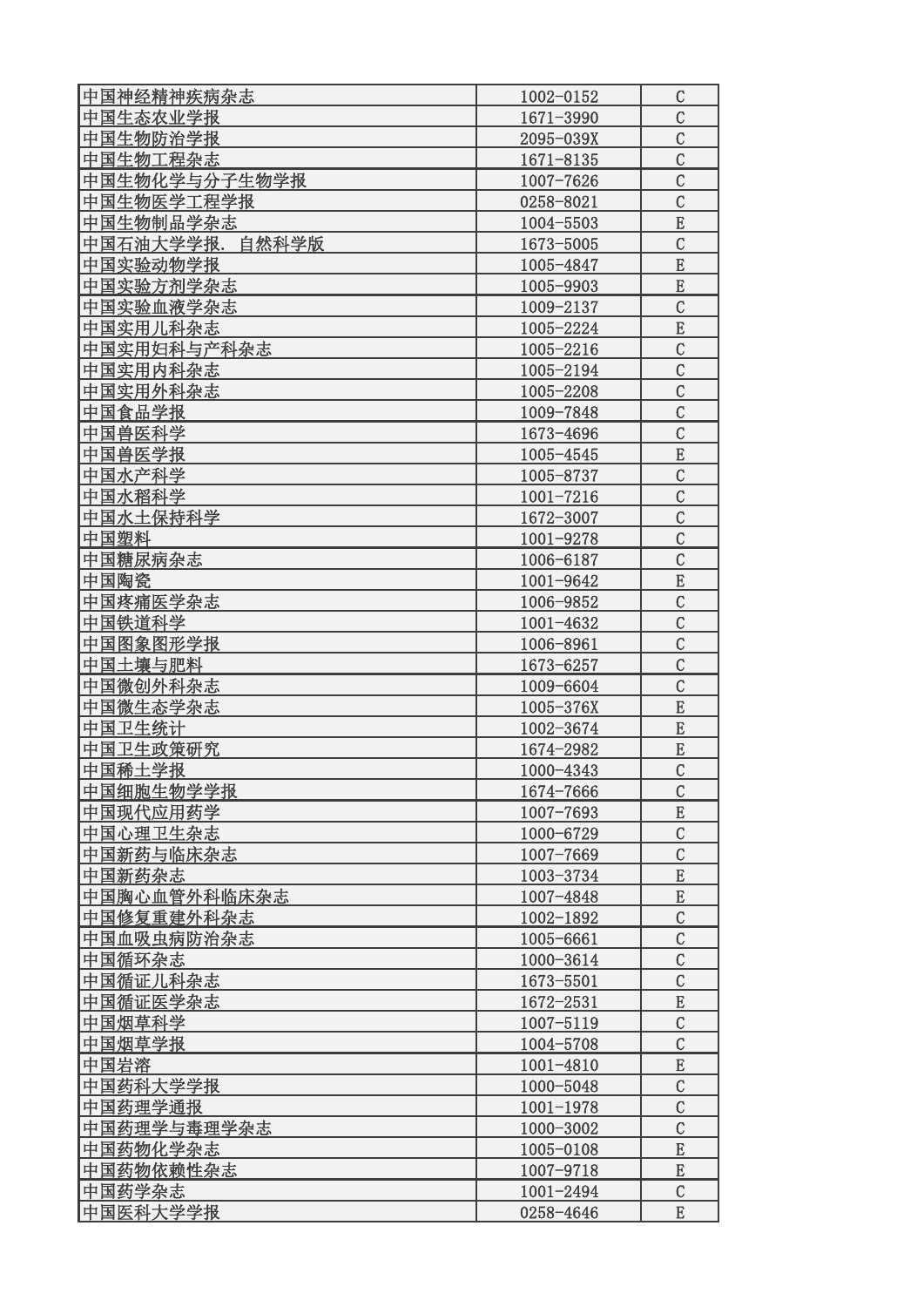| 中国神经精神疾病杂志          | 1002-0152     | $\mathcal{C}$                  |
|---------------------|---------------|--------------------------------|
| 中国生态农业学报            | 1671-3990     | $\mathcal{C}$                  |
| 中国生物防治学报            | 2095-039X     | $\mathcal{C}$                  |
| 中国生物工程杂志            | 1671-8135     | $\mathcal{C}$                  |
| 中国生物化学与分子生物学报       | 1007-7626     | $\overline{C}$                 |
| 中国生物医学工程学报          | 0258-8021     | $\mathcal{C}$                  |
| 中国生物制品学杂志           | 1004-5503     | ${\bf E}$                      |
| 中国石油大学学报. 自然科学版     | 1673-5005     | $\mathcal{C}$                  |
| 中国实验动物学报            | 1005-4847     | E                              |
| 中国实验方剂学杂志           | 1005-9903     | E                              |
| 中国实验血液学杂志           | 1009-2137     | $\mathcal{C}$                  |
| 中国实用儿科杂志            | 1005-2224     | E                              |
| 中国实用妇科与产科杂志         | 1005-2216     | $\mathcal{C}$                  |
| 中国实用内科杂志            | 1005-2194     | $\mathcal{C}$                  |
| 中国实用外科杂志            | 1005-2208     | $\mathcal{C}$                  |
| 中国食品学报              | 1009-7848     | $\mathcal{C}$                  |
| 中国兽医科学              | 1673-4696     | $\mathcal{C}$                  |
| 中国兽医学报              | 1005-4545     | E                              |
| 中国水产科学              | 1005-8737     | $\mathcal{C}$                  |
| 中国水稻科学              | $1001 - 7216$ | $\mathcal{C}$                  |
| 中国水土保持科学            | 1672-3007     | $\mathcal{C}$                  |
| 中国塑料                | 1001-9278     | $\mathcal{C}$                  |
| 中国糖尿病杂志             | 1006-6187     | $\mathcal{C}$                  |
| 中国陶瓷                | 1001-9642     | E                              |
| 中国疼痛医学杂志            | 1006-9852     | $\mathcal{C}$                  |
| 中国铁道科学              | 1001-4632     | $\mathcal{C}$                  |
|                     |               | $\mathcal{C}$                  |
| 中国图象图形学报<br>中国土壤与肥料 | 1006-8961     | $\overline{C}$                 |
|                     | 1673-6257     |                                |
| 中国微创外科杂志            | 1009-6604     | $\mathcal{C}$                  |
| 中国微生态学杂志            | 1005-376X     | E                              |
| 中国卫生统计              | 1002-3674     | ${\bf E}$                      |
| 中国卫生政策研究            | 1674-2982     | E                              |
| 中国稀土学报              | 1000-4343     | $\mathcal{C}$                  |
| 中国细胞生物学学报           | 1674-7666     | $\mathcal{C}$                  |
| 中国现代应用药学            | 1007-7693     | E                              |
| 中国心理卫生杂志            | 1000-6729     | $\mathcal{C}$                  |
| 中国新药与临床杂志           | 1007-7669     | $\mathcal{C}$                  |
| 中国新药杂志              | 1003-3734     | E                              |
| 中国胸心血管外科临床杂志        | 1007-4848     | ${\bf E}$                      |
| 中国修复重建外科杂志          | 1002-1892     | $\mathcal{C}$<br>$\mathcal{C}$ |
| 中国血吸虫病防治杂志          | 1005-6661     |                                |
| 中国循环杂志              | 1000-3614     | $\mathcal{C}$                  |
| 中国循证儿科杂志            | 1673-5501     | $\mathcal{C}$                  |
| 中国循证医学杂志            | 1672-2531     | ${\bf E}$                      |
| 中国烟草科学              | 1007-5119     | $\mathcal{C}$                  |
| 中国烟草学报              | 1004-5708     | $\mathcal{C}$                  |
| 中国岩溶                | 1001-4810     | ${\bf E}$                      |
| 中国药科大学学报            | 1000-5048     | $\mathcal{C}$                  |
| 中国药理学通报             | $1001 - 1978$ | $\overline{C}$                 |
| 中国药理学与毒理学杂志         | 1000-3002     | $\mathcal{C}$                  |
| 中国药物化学杂志            | 1005-0108     | E                              |
| 中国药物依赖性杂志           | 1007-9718     | ${\bf E}$                      |
| 中国药学杂志              | 1001-2494     | $\mathcal{C}$                  |
| 中国医科大学学报            | 0258-4646     | ${\bf E}$                      |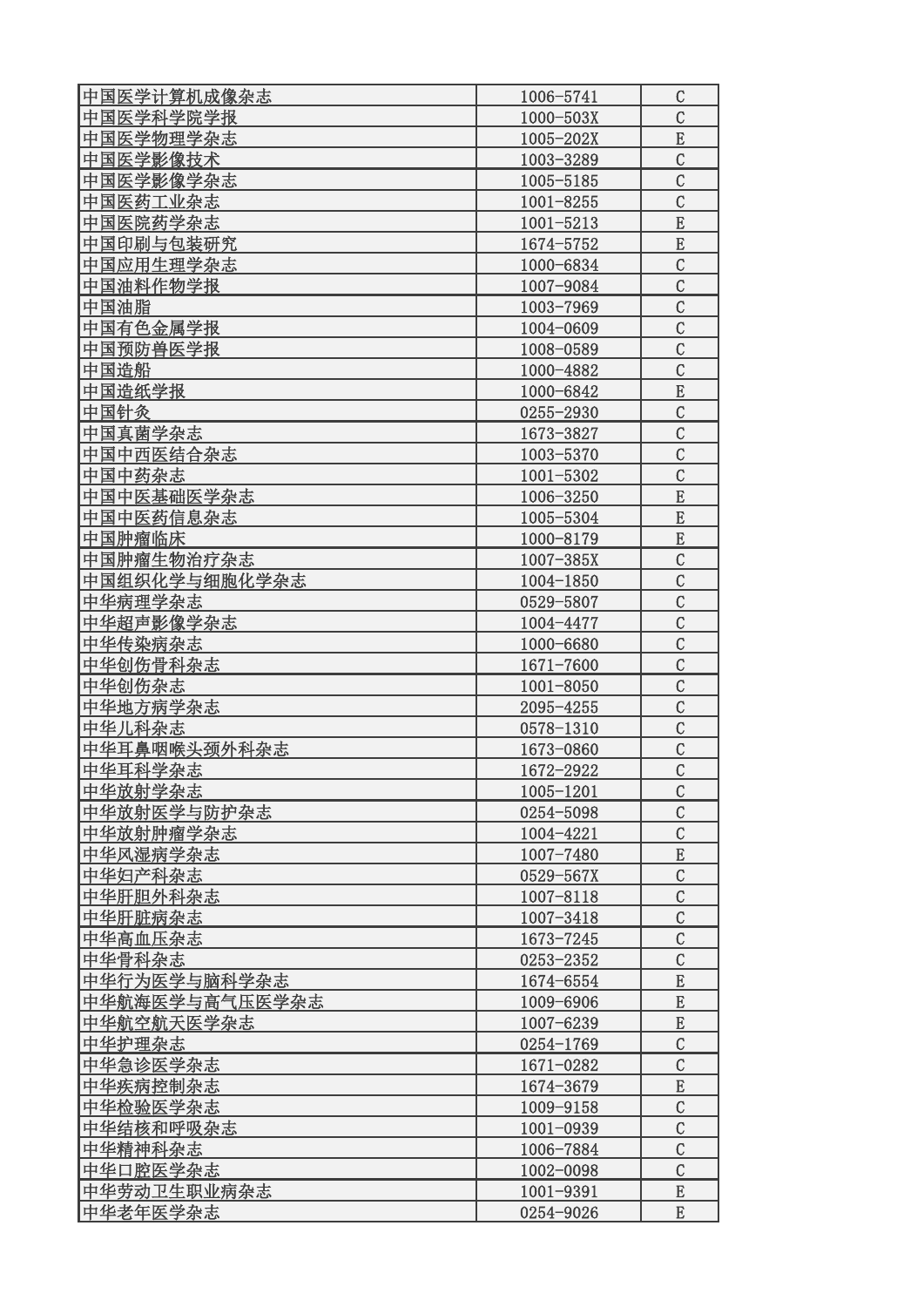| 中国医学计算机成像杂志    | 1006-5741     | $\mathcal C$   |
|----------------|---------------|----------------|
| 中国医学科学院学报      | 1000-503X     | $\mathcal{C}$  |
| 中国医学物理学杂志      | 1005-202X     | ${\bf E}$      |
| 中国医学影像技术       | 1003-3289     | $\mathcal{C}$  |
| 中国医学影像学杂志      | 1005-5185     | $\mathcal{C}$  |
| 中国医药工业杂志       | $1001 - 8255$ | $\mathcal{C}$  |
| 中国医院药学杂志       | $1001 - 5213$ | $\overline{E}$ |
| 中国印刷与包装研究      | 1674-5752     | E              |
| 中国应用生理学杂志      | 1000-6834     | $\overline{C}$ |
| 中国油料作物学报       | 1007-9084     | $\mathcal{C}$  |
| 中国油脂           | 1003-7969     | $\overline{C}$ |
| 中国有色金属学报       | 1004-0609     | $\mathcal{C}$  |
| 中国预防兽医学报       | 1008-0589     | $\mathcal{C}$  |
| 中国造船           | 1000-4882     | $\mathcal{C}$  |
| 中国造纸学报         | 1000-6842     | E              |
| 中国针灸           | 0255-2930     | $\mathcal{C}$  |
| 中国真菌学杂志        | 1673-3827     | $\mathcal{C}$  |
| 中国中西医结合杂志      | 1003-5370     | $\mathcal{C}$  |
| 中国中药杂志         | 1001-5302     | $\mathcal{C}$  |
| 中国中医基础医学杂志     | 1006-3250     | E              |
| 中国中医药信息杂志      | 1005-5304     | E              |
| 中国肿瘤临床         | 1000-8179     | $\mathbf E$    |
| 中国肿瘤生物治疗杂志     | $1007 - 385X$ | $\mathcal{C}$  |
| 中国组织化学与细胞化学杂志  | 1004-1850     | $\mathcal{C}$  |
| 中华病理学杂志        | 0529-5807     | $\mathcal{C}$  |
| 中华超声影像学杂志      | 1004-4477     | $\mathcal{C}$  |
| 中华传染病杂志        | 1000-6680     | $\mathcal{C}$  |
| 中华创伤骨科杂志       | 1671-7600     | $\mathcal{C}$  |
| 中华创伤杂志         | 1001-8050     | $\mathcal{C}$  |
| 中华地方病学杂志       | 2095-4255     | $\mathcal{C}$  |
| 中华儿科杂志         | 0578-1310     | $\mathcal{C}$  |
| 中华耳鼻咽喉头颈外科杂志   | 1673-0860     | $\overline{C}$ |
| 中华耳科学杂志        | 1672-2922     | $\overline{C}$ |
| 中华放射学杂志        | 1005-1201     | $\mathcal{C}$  |
| 中华放射医学与防护杂志    | 0254-5098     | $\overline{C}$ |
| 中华放射肿瘤学杂志      | 1004-4221     | $\mathcal{C}$  |
| 中华风湿病学杂志       | 1007-7480     | ${\bf E}$      |
| 中华妇产科杂志        | 0529-567X     | $\mathcal{C}$  |
| 中华肝胆外科杂志       | 1007-8118     | $\mathcal{C}$  |
| 中华肝脏病杂志        | 1007-3418     | $\mathcal{C}$  |
| 中华高血压杂志        | 1673-7245     | $\mathcal{C}$  |
| 中华骨科杂志         | 0253-2352     | $\mathcal{C}$  |
| 中华行为医学与脑科学杂志   | 1674-6554     | E              |
| 中华航海医学与高气压医学杂志 | 1009-6906     | E              |
| 中华航空航天医学杂志     | 1007-6239     | ${\bf E}$      |
| 中华护理杂志         | 0254-1769     | $\mathcal{C}$  |
| 中华急诊医学杂志       | 1671-0282     | $\mathcal{C}$  |
| 中华疾病控制杂志       | 1674-3679     | E              |
| 中华检验医学杂志       | 1009-9158     | $\mathcal{C}$  |
| 中华结核和呼吸杂志      | $1001 - 0939$ | $\overline{C}$ |
| 中华精神科杂志        | 1006-7884     | $\mathcal{C}$  |
| 中华口腔医学杂志       | 1002-0098     | $\mathcal{C}$  |
| 中华劳动卫生职业病杂志    | 1001-9391     | E              |
| 中华老年医学杂志       | 0254-9026     | E              |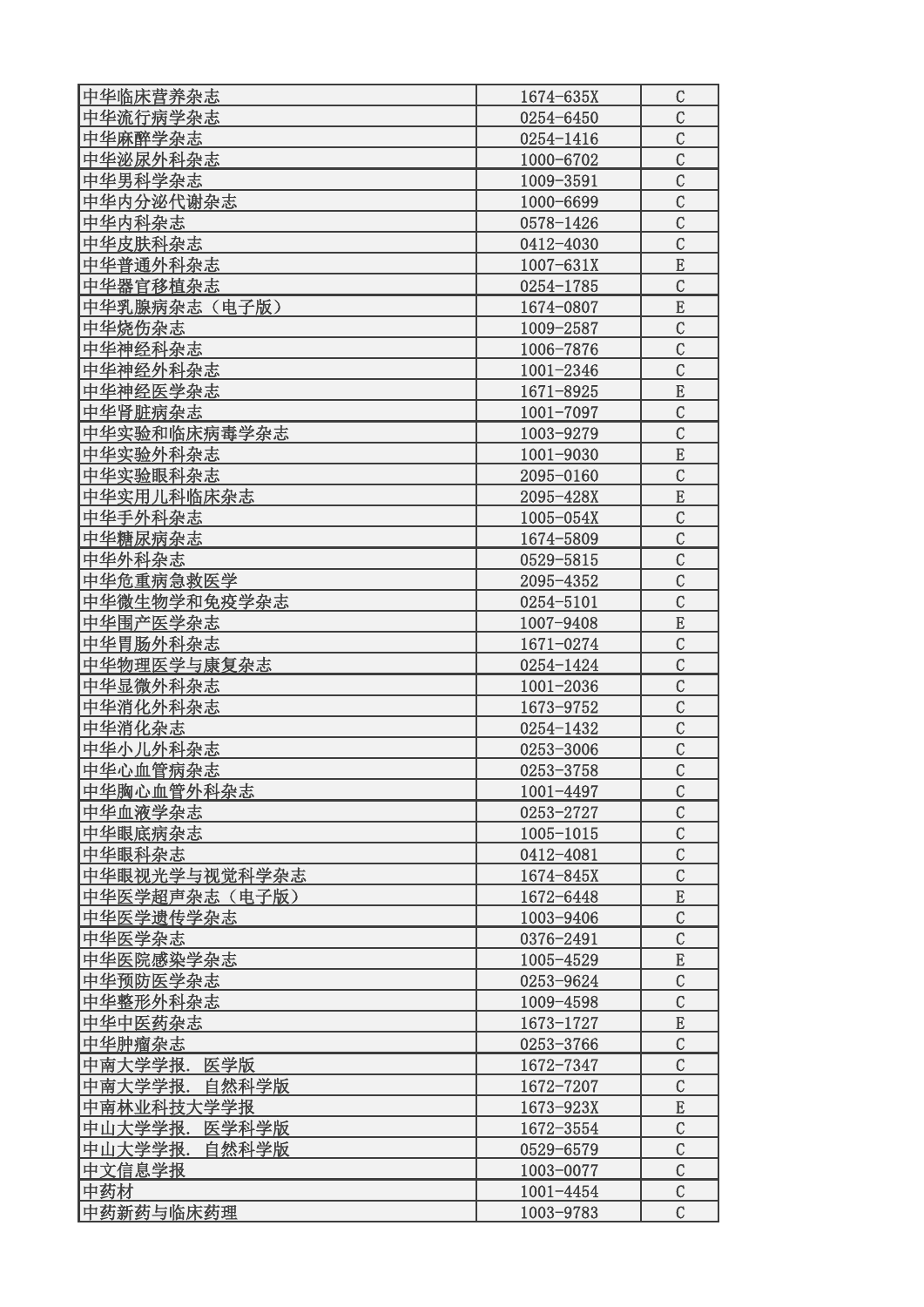| 中华临床营养杂志         | 1674-635X     | $\mathcal{C}$  |
|------------------|---------------|----------------|
| 中华流行病学杂志         | 0254-6450     | $\mathcal{C}$  |
| 中华麻醉学杂志          | $0254 - 1416$ | $\mathcal{C}$  |
| 中华泌尿外科杂志         | 1000-6702     | $\mathcal{C}$  |
| 中华男科学杂志          | 1009-3591     | $\mathcal{C}$  |
| 中华内分泌代谢杂志        | 1000-6699     | $\mathcal{C}$  |
| 中华内科杂志           | 0578-1426     | $\mathcal{C}$  |
| 中华皮肤科杂志          | 0412-4030     | $\mathcal{C}$  |
| 中华普通外科杂志         | $1007 - 631X$ | E              |
| 中华器官移植杂志         | 0254-1785     | $\mathcal{C}$  |
| 中华乳腺病杂志(电子版)     | 1674-0807     | E              |
| 中华烧伤杂志           | 1009-2587     | $\mathcal{C}$  |
| 中华神经科杂志          | 1006-7876     | $\mathcal{C}$  |
| 中华神经外科杂志         | 1001-2346     | $\overline{C}$ |
| 中华神经医学杂志         | 1671-8925     | E              |
| 中华肾脏病杂志          | 1001-7097     | $\mathcal{C}$  |
| 中华实验和临床病毒学杂志     | 1003-9279     | $\overline{C}$ |
| 中华实验外科杂志         | 1001-9030     | E              |
| 中华实验眼科杂志         | 2095-0160     | $\mathcal{C}$  |
| 中华实用儿科临床杂志       | 2095-428X     | E              |
| 中华手外科杂志          | 1005-054X     | $\mathcal{C}$  |
| 中华糖尿病杂志          | 1674-5809     | $\mathcal{C}$  |
| 中华外科杂志           | 0529-5815     | $\mathcal{C}$  |
| 中华危重病急救医学        | 2095-4352     | $\mathcal{C}$  |
| 中华微生物学和免疫学杂志     |               | $\mathcal{C}$  |
| 中华围产医学杂志         | 0254-5101     | E              |
|                  | 1007-9408     | $\mathcal{C}$  |
| 中华胃肠外科杂志         | 1671-0274     | $\overline{C}$ |
| 中华物理医学与康复杂志      | 0254-1424     | $\mathcal{C}$  |
| 中华显微外科杂志         | $1001 - 2036$ |                |
| 中华消化外科杂志         | 1673-9752     | $\mathcal{C}$  |
| 中华消化杂志           | 0254-1432     | $\mathcal{C}$  |
| 中华小儿外科杂志         | 0253-3006     | $\mathcal{C}$  |
| 中华心血管病杂志         | 0253-3758     | $\overline{C}$ |
| 中华胸心血管外科杂志       | $1001 - 4497$ | C              |
| 中华血液学杂志          | 0253-2727     | $\mathcal{C}$  |
| 中华眼底病杂志          | 1005-1015     | $\mathcal{C}$  |
| 中华眼科杂志           | 0412-4081     | $\mathcal{C}$  |
| 中华眼视光学与视觉科学杂志    | 1674-845X     | $\mathcal{C}$  |
| 中华医学超声杂志 (电子版)   | 1672-6448     | ${\bf E}$      |
| 中华医学遗传学杂志        | 1003-9406     | $\overline{C}$ |
| 中华医学杂志           | 0376-2491     | $\mathcal{C}$  |
| 中华医院感染学杂志        | 1005-4529     | E              |
| 中华预防医学杂志         | 0253-9624     | $\mathcal{C}$  |
| 中华整形外科杂志         | 1009-4598     | $\mathcal{C}$  |
| 中华中医药杂志          | 1673-1727     | E              |
| 中华肿瘤杂志           | 0253-3766     | $\mathcal{C}$  |
| 医学版<br>中南大学学报.   | 1672-7347     | $\mathcal{C}$  |
| 中南大学学报.<br>自然科学版 | 1672-7207     | $\mathcal{C}$  |
| 中南林业科技大学学报       | 1673-923X     | ${\bf E}$      |
| 中山大学学报.<br>医学科学版 | 1672-3554     | $\mathcal{C}$  |
| 中山大学学报.<br>自然科学版 | 0529-6579     | $\overline{C}$ |
| 中文信息学报           | 1003-0077     | $\mathcal{C}$  |
| 中药材              | $1001 - 4454$ | $\mathcal{C}$  |
| 中药新药与临床药理        | 1003-9783     | $\mathcal{C}$  |